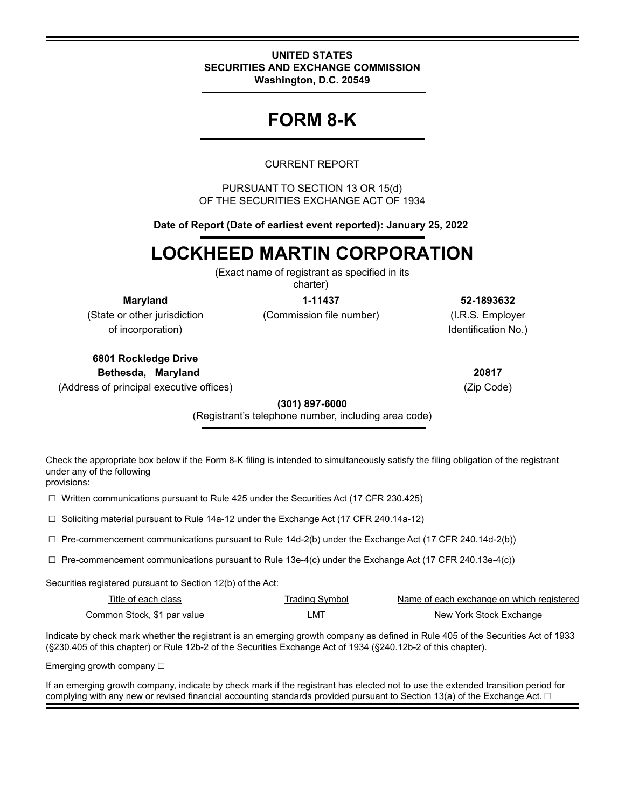#### **UNITED STATES SECURITIES AND EXCHANGE COMMISSION Washington, D.C. 20549**

## **FORM 8-K**

## CURRENT REPORT

PURSUANT TO SECTION 13 OR 15(d) OF THE SECURITIES EXCHANGE ACT OF 1934

**Date of Report (Date of earliest event reported): January 25, 2022** 

# **LOCKHEED MARTIN CORPORATION**

(Exact name of registrant as specified in its charter)

(State or other jurisdiction (Commission file number) (I.R.S. Employer of incorporation) and incorporation  $\mathsf{No}$ .

**Maryland 1-11437 52-1893632**

**6801 Rockledge Drive Bethesda, Maryland 20817** (Address of principal executive offices) (Zip Code)

**(301) 897-6000**

(Registrant's telephone number, including area code)

Check the appropriate box below if the Form 8-K filing is intended to simultaneously satisfy the filing obligation of the registrant under any of the following provisions:

☐ Written communications pursuant to Rule 425 under the Securities Act (17 CFR 230.425)

☐ Soliciting material pursuant to Rule 14a-12 under the Exchange Act (17 CFR 240.14a-12)

 $\Box$  Pre-commencement communications pursuant to Rule 14d-2(b) under the Exchange Act (17 CFR 240.14d-2(b))

 $\Box$  Pre-commencement communications pursuant to Rule 13e-4(c) under the Exchange Act (17 CFR 240.13e-4(c))

Securities registered pursuant to Section 12(b) of the Act:

| Title of each class         | Trading Symbol | Name of each exchange on which registered |
|-----------------------------|----------------|-------------------------------------------|
| Common Stock, \$1 par value | _MT            | New York Stock Exchange                   |

Indicate by check mark whether the registrant is an emerging growth company as defined in Rule 405 of the Securities Act of 1933 (§230.405 of this chapter) or Rule 12b-2 of the Securities Exchange Act of 1934 (§240.12b-2 of this chapter).

Emerging growth company □

If an emerging growth company, indicate by check mark if the registrant has elected not to use the extended transition period for complying with any new or revised financial accounting standards provided pursuant to Section 13(a) of the Exchange Act.  $\Box$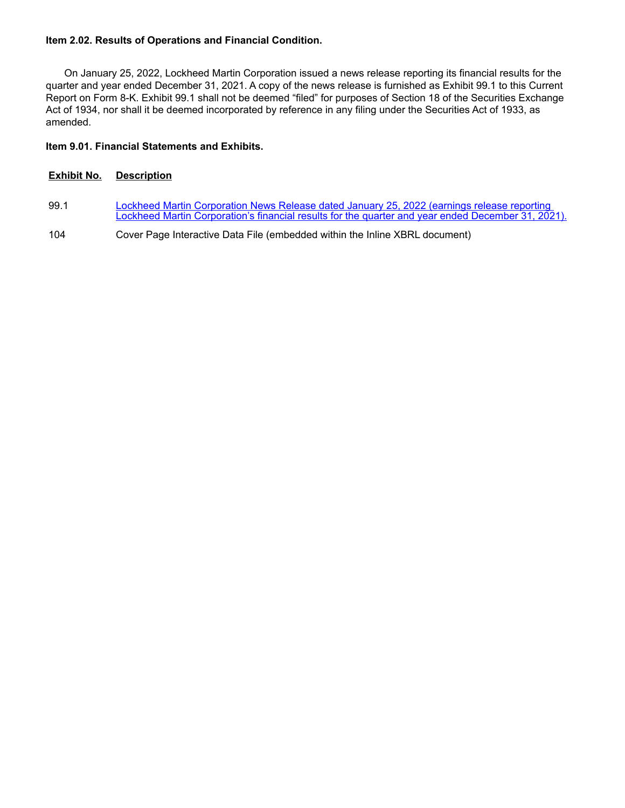#### **Item 2.02. Results of Operations and Financial Condition.**

On January 25, 2022, Lockheed Martin Corporation issued a news release reporting its financial results for the quarter and year ended December 31, 2021. A copy of the news release is furnished as Exhibit 99.1 to this Current Report on Form 8-K. Exhibit 99.1 shall not be deemed "filed" for purposes of Section 18 of the Securities Exchange Act of 1934, nor shall it be deemed incorporated by reference in any filing under the Securities Act of 1933, as amended.

#### **Item 9.01. Financial Statements and Exhibits.**

#### **Exhibit No. Description**

- 99.1 Lockheed Martin Corporation News Release dated January 25, 2022 (earnings release reporting [Lockheed Martin Corporation's financial results for the quarter and year ended December 31, 2021\).](wurl://docs.v1/doc:bf8897358d6a4e3c831c85c12ac3ecf5)
- 104 Cover Page Interactive Data File (embedded within the Inline XBRL document)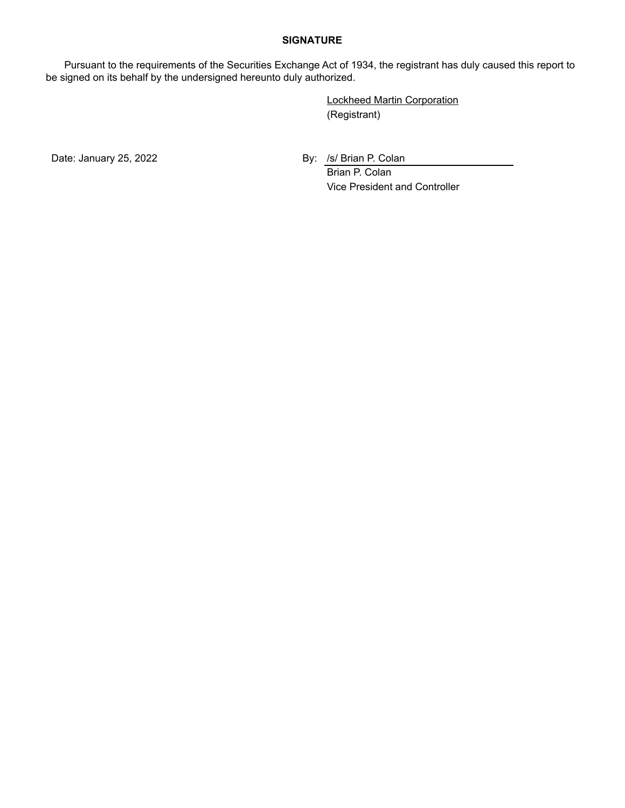#### **SIGNATURE**

Pursuant to the requirements of the Securities Exchange Act of 1934, the registrant has duly caused this report to be signed on its behalf by the undersigned hereunto duly authorized.

> Lockheed Martin Corporation (Registrant)

Date: January 25, 2022 **By: /s/ Brian P. Colan** 

Brian P. Colan Vice President and Controller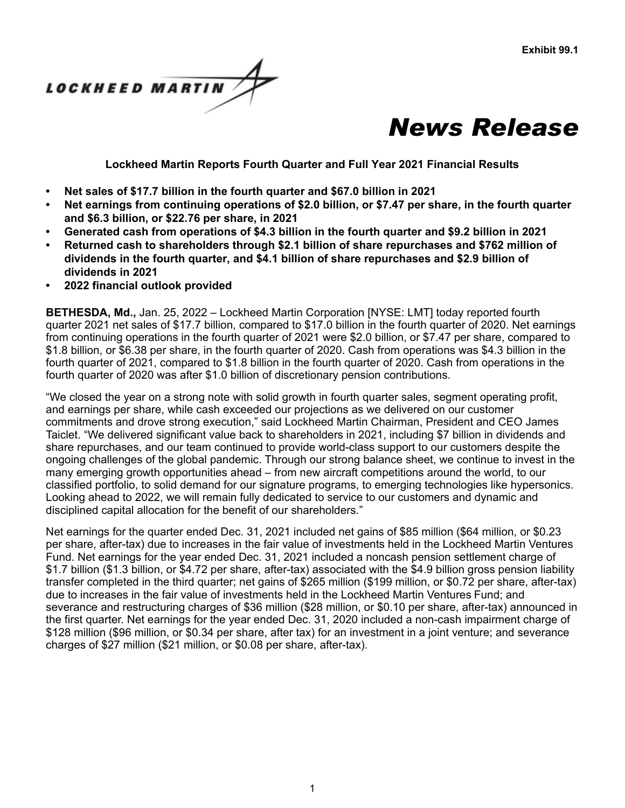



**Lockheed Martin Reports Fourth Quarter and Full Year 2021 Financial Results**

- **• Net sales of \$17.7 billion in the fourth quarter and \$67.0 billion in 2021**
- **• Net earnings from continuing operations of \$2.0 billion, or \$7.47 per share, in the fourth quarter and \$6.3 billion, or \$22.76 per share, in 2021**
- **• Generated cash from operations of \$4.3 billion in the fourth quarter and \$9.2 billion in 2021**
- **• Returned cash to shareholders through \$2.1 billion of share repurchases and \$762 million of dividends in the fourth quarter, and \$4.1 billion of share repurchases and \$2.9 billion of dividends in 2021**
- **• 2022 financial outlook provided**

**BETHESDA, Md.,** Jan. 25, 2022 – Lockheed Martin Corporation [NYSE: LMT] today reported fourth quarter 2021 net sales of \$17.7 billion, compared to \$17.0 billion in the fourth quarter of 2020. Net earnings from continuing operations in the fourth quarter of 2021 were \$2.0 billion, or \$7.47 per share, compared to \$1.8 billion, or \$6.38 per share, in the fourth quarter of 2020. Cash from operations was \$4.3 billion in the fourth quarter of 2021, compared to \$1.8 billion in the fourth quarter of 2020. Cash from operations in the fourth quarter of 2020 was after \$1.0 billion of discretionary pension contributions.

"We closed the year on a strong note with solid growth in fourth quarter sales, segment operating profit, and earnings per share, while cash exceeded our projections as we delivered on our customer commitments and drove strong execution," said Lockheed Martin Chairman, President and CEO James Taiclet. "We delivered significant value back to shareholders in 2021, including \$7 billion in dividends and share repurchases, and our team continued to provide world-class support to our customers despite the ongoing challenges of the global pandemic. Through our strong balance sheet, we continue to invest in the many emerging growth opportunities ahead – from new aircraft competitions around the world, to our classified portfolio, to solid demand for our signature programs, to emerging technologies like hypersonics. Looking ahead to 2022, we will remain fully dedicated to service to our customers and dynamic and disciplined capital allocation for the benefit of our shareholders."

Net earnings for the quarter ended Dec. 31, 2021 included net gains of \$85 million (\$64 million, or \$0.23 per share, after-tax) due to increases in the fair value of investments held in the Lockheed Martin Ventures Fund. Net earnings for the year ended Dec. 31, 2021 included a noncash pension settlement charge of \$1.7 billion (\$1.3 billion, or \$4.72 per share, after-tax) associated with the \$4.9 billion gross pension liability transfer completed in the third quarter; net gains of \$265 million (\$199 million, or \$0.72 per share, after-tax) due to increases in the fair value of investments held in the Lockheed Martin Ventures Fund; and severance and restructuring charges of \$36 million (\$28 million, or \$0.10 per share, after-tax) announced in the first quarter. Net earnings for the year ended Dec. 31, 2020 included a non-cash impairment charge of \$128 million (\$96 million, or \$0.34 per share, after tax) for an investment in a joint venture; and severance charges of \$27 million (\$21 million, or \$0.08 per share, after-tax).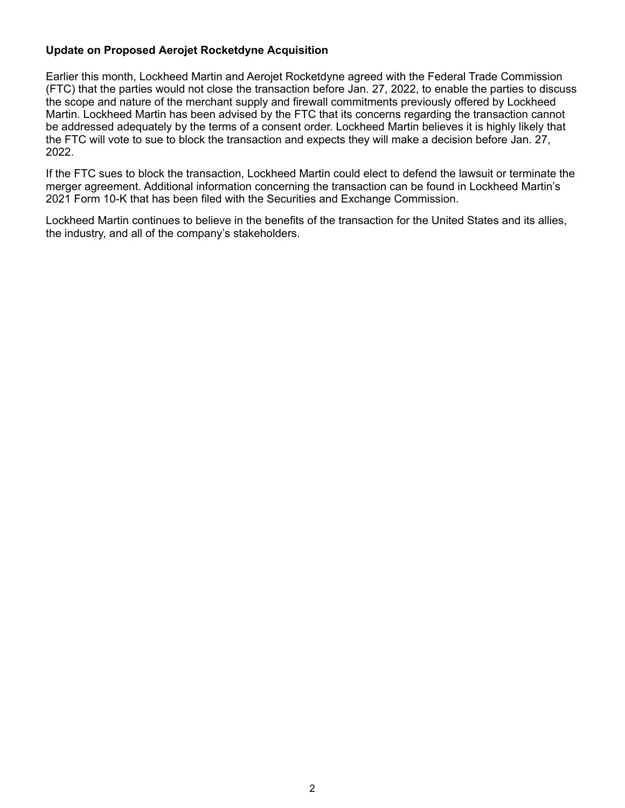## **Update on Proposed Aerojet Rocketdyne Acquisition**

Earlier this month, Lockheed Martin and Aerojet Rocketdyne agreed with the Federal Trade Commission (FTC) that the parties would not close the transaction before Jan. 27, 2022, to enable the parties to discuss the scope and nature of the merchant supply and firewall commitments previously offered by Lockheed Martin. Lockheed Martin has been advised by the FTC that its concerns regarding the transaction cannot be addressed adequately by the terms of a consent order. Lockheed Martin believes it is highly likely that the FTC will vote to sue to block the transaction and expects they will make a decision before Jan. 27, 2022.

If the FTC sues to block the transaction, Lockheed Martin could elect to defend the lawsuit or terminate the merger agreement. Additional information concerning the transaction can be found in Lockheed Martin's 2021 Form 10-K that has been filed with the Securities and Exchange Commission.

Lockheed Martin continues to believe in the benefits of the transaction for the United States and its allies, the industry, and all of the company's stakeholders.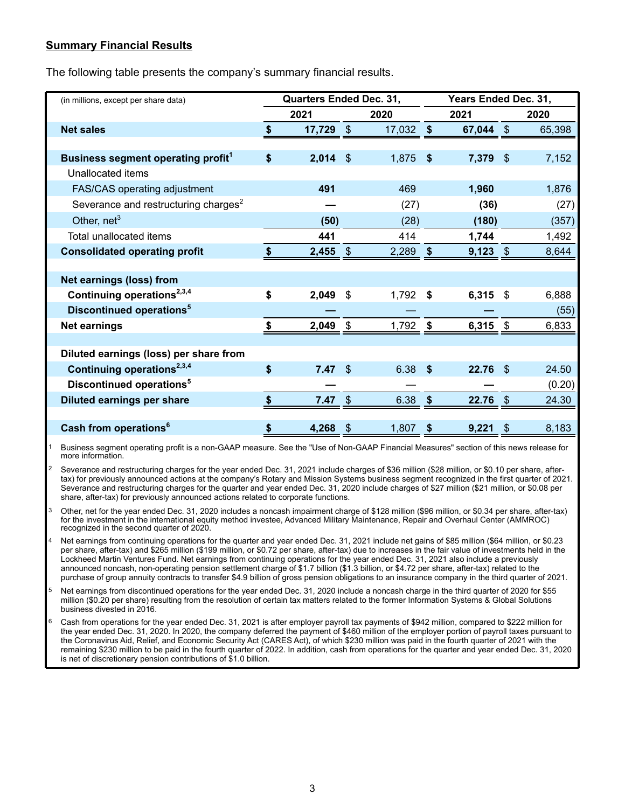## **Summary Financial Results**

The following table presents the company's summary financial results.

| (in millions, except per share data)             | Quarters Ended Dec. 31, |                         |        | Years Ended Dec. 31, |            |                |        |  |  |
|--------------------------------------------------|-------------------------|-------------------------|--------|----------------------|------------|----------------|--------|--|--|
|                                                  | 2021                    |                         | 2020   |                      | 2021       |                | 2020   |  |  |
| <b>Net sales</b>                                 | 17,729                  | $\sqrt[6]{\frac{1}{2}}$ | 17,032 | \$                   | 67,044     | $\mathfrak{F}$ | 65,398 |  |  |
|                                                  |                         |                         |        |                      |            |                |        |  |  |
| Business segment operating profit <sup>1</sup>   | \$<br>2,014             | $\mathfrak{F}$          | 1,875  | \$                   | 7,379      | $\mathcal{S}$  | 7,152  |  |  |
| Unallocated items                                |                         |                         |        |                      |            |                |        |  |  |
| FAS/CAS operating adjustment                     | 491                     |                         | 469    |                      | 1,960      |                | 1,876  |  |  |
| Severance and restructuring charges <sup>2</sup> |                         |                         | (27)   |                      | (36)       |                | (27)   |  |  |
| Other, $net3$                                    | (50)                    |                         | (28)   |                      | (180)      |                | (357)  |  |  |
| Total unallocated items                          | 441                     |                         | 414    |                      | 1,744      |                | 1,492  |  |  |
| <b>Consolidated operating profit</b>             | $2,455$ \$              |                         | 2,289  | \$                   | $9,123$ \$ |                | 8,644  |  |  |
|                                                  |                         |                         |        |                      |            |                |        |  |  |
| <b>Net earnings (loss) from</b>                  |                         |                         |        |                      |            |                |        |  |  |
| Continuing operations <sup>2,3,4</sup>           | \$<br>2,049             | \$                      | 1,792  | S                    | 6,315      | \$             | 6,888  |  |  |
| Discontinued operations <sup>5</sup>             |                         |                         |        |                      |            |                | (55)   |  |  |
| <b>Net earnings</b>                              | 2,049                   | \$                      | 1,792  | \$                   | 6,315      |                | 6,833  |  |  |
|                                                  |                         |                         |        |                      |            |                |        |  |  |
| Diluted earnings (loss) per share from           |                         |                         |        |                      |            |                |        |  |  |
| Continuing operations <sup>2,3,4</sup>           | \$<br>7.47              | \$                      | 6.38   | \$                   | 22.76      | \$.            | 24.50  |  |  |
| Discontinued operations <sup>5</sup>             |                         |                         |        |                      |            |                | (0.20) |  |  |
| <b>Diluted earnings per share</b>                | 7.47                    | \$                      | 6.38   | \$                   | 22.76      | $\mathfrak{S}$ | 24.30  |  |  |
|                                                  |                         |                         |        |                      |            |                |        |  |  |
| Cash from operations <sup>6</sup>                | \$<br>4,268             | S                       | 1,807  | S                    | 9,221      | S              | 8,183  |  |  |

 1 Business segment operating profit is a non-GAAP measure. See the "Use of Non-GAAP Financial Measures" section of this news release for more information.

Severance and restructuring charges for the year ended Dec. 31, 2021 include charges of \$36 million (\$28 million, or \$0.10 per share, aftertax) for previously announced actions at the company's Rotary and Mission Systems business segment recognized in the first quarter of 2021. Severance and restructuring charges for the quarter and year ended Dec. 31, 2020 include charges of \$27 million (\$21 million, or \$0.08 per share, after-tax) for previously announced actions related to corporate functions.

Other, net for the year ended Dec. 31, 2020 includes a noncash impairment charge of \$128 million (\$96 million, or \$0.34 per share, after-tax) for the investment in the international equity method investee, Advanced Military Maintenance, Repair and Overhaul Center (AMMROC) recognized in the second quarter of 2020.

- Net earnings from continuing operations for the quarter and year ended Dec. 31, 2021 include net gains of \$85 million (\$64 million, or \$0.23 per share, after-tax) and \$265 million (\$199 million, or \$0.72 per share, after-tax) due to increases in the fair value of investments held in the Lockheed Martin Ventures Fund. Net earnings from continuing operations for the year ended Dec. 31, 2021 also include a previously announced noncash, non-operating pension settlement charge of \$1.7 billion (\$1.3 billion, or \$4.72 per share, after-tax) related to the purchase of group annuity contracts to transfer \$4.9 billion of gross pension obligations to an insurance company in the third quarter of 2021.
- 5 Net earnings from discontinued operations for the year ended Dec. 31, 2020 include a noncash charge in the third quarter of 2020 for \$55 million (\$0.20 per share) resulting from the resolution of certain tax matters related to the former Information Systems & Global Solutions business divested in 2016.
- 6 Cash from operations for the year ended Dec. 31, 2021 is after employer payroll tax payments of \$942 million, compared to \$222 million for the year ended Dec. 31, 2020. In 2020, the company deferred the payment of \$460 million of the employer portion of payroll taxes pursuant to the Coronavirus Aid, Relief, and Economic Security Act (CARES Act), of which \$230 million was paid in the fourth quarter of 2021 with the remaining \$230 million to be paid in the fourth quarter of 2022. In addition, cash from operations for the quarter and year ended Dec. 31, 2020 is net of discretionary pension contributions of \$1.0 billion.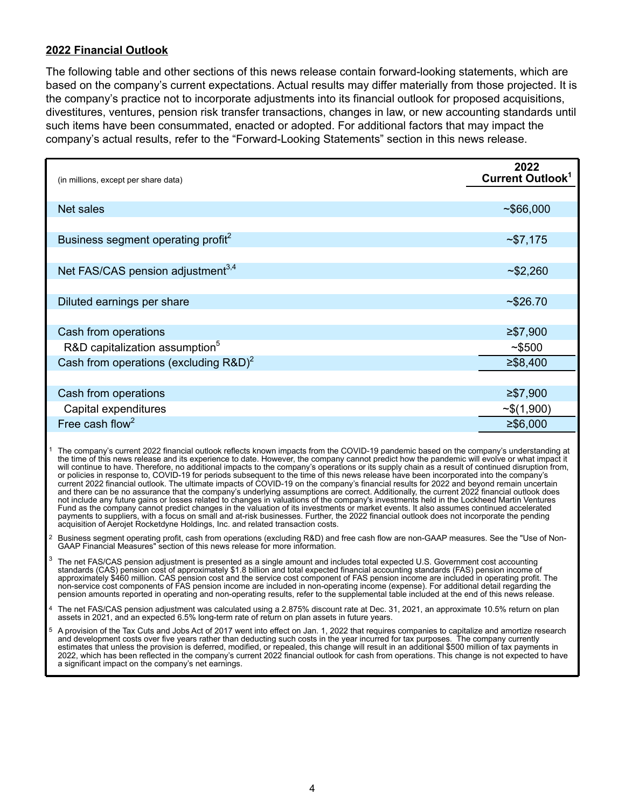## **2022 Financial Outlook**

The following table and other sections of this news release contain forward-looking statements, which are based on the company's current expectations. Actual results may differ materially from those projected. It is the company's practice not to incorporate adjustments into its financial outlook for proposed acquisitions, divestitures, ventures, pension risk transfer transactions, changes in law, or new accounting standards until such items have been consummated, enacted or adopted. For additional factors that may impact the company's actual results, refer to the "Forward-Looking Statements" section in this news release.

| (in millions, except per share data)           | 2022<br><b>Current Outlook<sup>1</sup></b> |
|------------------------------------------------|--------------------------------------------|
|                                                |                                            |
| Net sales                                      | ~566,000                                   |
|                                                |                                            |
| Business segment operating profit <sup>2</sup> | ~57,175                                    |
|                                                |                                            |
| Net FAS/CAS pension adjustment <sup>3,4</sup>  | ~52,260                                    |
|                                                |                                            |
| Diluted earnings per share                     | ~526.70                                    |
|                                                |                                            |
| Cash from operations                           | $≥$ \$7,900                                |
| R&D capitalization assumption <sup>5</sup>     | ~5500                                      |
| Cash from operations (excluding $R&D)^2$       | $≥$ \$8,400                                |
|                                                |                                            |
| Cash from operations                           | $≥$ \$7,900                                |
| Capital expenditures                           | $\sim$ \$(1,900)                           |
| Free cash flow <sup>2</sup>                    | $≥$ \$6,000                                |

<sup>1</sup> The company's current 2022 financial outlook reflects known impacts from the COVID-19 pandemic based on the company's understanding at the time of this news release and its experience to date. However, the company cannot predict how the pandemic will evolve or what impact it will continue to have. Therefore, no additional impacts to the company's operations or its supply chain as a result of continued disruption from, or policies in response to, COVID-19 for periods subsequent to the time of this news release have been incorporated into the company's current 2022 financial outlook. The ultimate impacts of COVID-19 on the company's financial results for 2022 and beyond remain uncertain and there can be no assurance that the company's underlying assumptions are correct. Additionally, the current 2022 financial outlook does not include any future gains or losses related to changes in valuations of the company's investments held in the Lockheed Martin Ventures Fund as the company cannot predict changes in the valuation of its investments or market events. It also assumes continued accelerated payments to suppliers, with a focus on small and at-risk businesses. Further, the 2022 financial outlook does not incorporate the pending acquisition of Aerojet Rocketdyne Holdings, Inc. and related transaction costs.

2 Business segment operating profit, cash from operations (excluding R&D) and free cash flow are non-GAAP measures. See the "Use of Non-GAAP Financial Measures" section of this news release for more information.

- The net FAS/CAS pension adjustment is presented as a single amount and includes total expected U.S. Government cost accounting standards (CAS) pension cost of approximately \$1.8 billion and total expected financial accounting standards (FAS) pension income of approximately \$460 million. CAS pension cost and the service cost component of FAS pension income are included in operating profit. The non-service cost components of FAS pension income are included in non-operating income (expense). For additional detail regarding the pension amounts reported in operating and non-operating results, refer to the supplemental table included at the end of this news release.
- 4 The net FAS/CAS pension adjustment was calculated using a 2.875% discount rate at Dec. 31, 2021, an approximate 10.5% return on plan assets in 2021, and an expected 6.5% long-term rate of return on plan assets in future years.
- 5 A provision of the Tax Cuts and Jobs Act of 2017 went into effect on Jan. 1, 2022 that requires companies to capitalize and amortize research and development costs over five years rather than deducting such costs in the year incurred for tax purposes. The company currently estimates that unless the provision is deferred, modified, or repealed, this change will result in an additional \$500 million of tax payments in 2022, which has been reflected in the company's current 2022 financial outlook for cash from operations. This change is not expected to have a significant impact on the company's net earnings.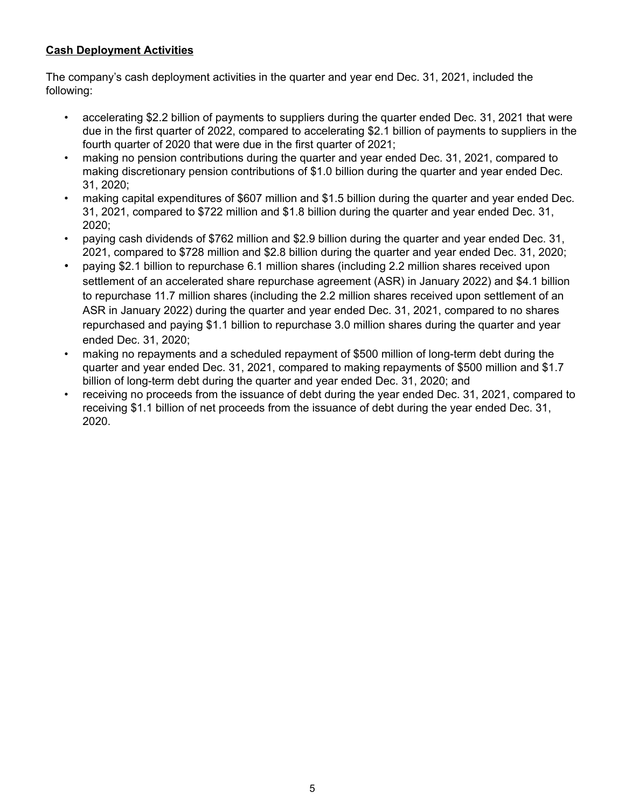## **Cash Deployment Activities**

The company's cash deployment activities in the quarter and year end Dec. 31, 2021, included the following:

- accelerating \$2.2 billion of payments to suppliers during the quarter ended Dec. 31, 2021 that were due in the first quarter of 2022, compared to accelerating \$2.1 billion of payments to suppliers in the fourth quarter of 2020 that were due in the first quarter of 2021;
- making no pension contributions during the quarter and year ended Dec. 31, 2021, compared to making discretionary pension contributions of \$1.0 billion during the quarter and year ended Dec. 31, 2020;
- making capital expenditures of \$607 million and \$1.5 billion during the quarter and year ended Dec. 31, 2021, compared to \$722 million and \$1.8 billion during the quarter and year ended Dec. 31, 2020;
- paying cash dividends of \$762 million and \$2.9 billion during the quarter and year ended Dec. 31, 2021, compared to \$728 million and \$2.8 billion during the quarter and year ended Dec. 31, 2020;
- paying \$2.1 billion to repurchase 6.1 million shares (including 2.2 million shares received upon settlement of an accelerated share repurchase agreement (ASR) in January 2022) and \$4.1 billion to repurchase 11.7 million shares (including the 2.2 million shares received upon settlement of an ASR in January 2022) during the quarter and year ended Dec. 31, 2021, compared to no shares repurchased and paying \$1.1 billion to repurchase 3.0 million shares during the quarter and year ended Dec. 31, 2020;
- making no repayments and a scheduled repayment of \$500 million of long-term debt during the quarter and year ended Dec. 31, 2021, compared to making repayments of \$500 million and \$1.7 billion of long-term debt during the quarter and year ended Dec. 31, 2020; and
- receiving no proceeds from the issuance of debt during the year ended Dec. 31, 2021, compared to receiving \$1.1 billion of net proceeds from the issuance of debt during the year ended Dec. 31, 2020.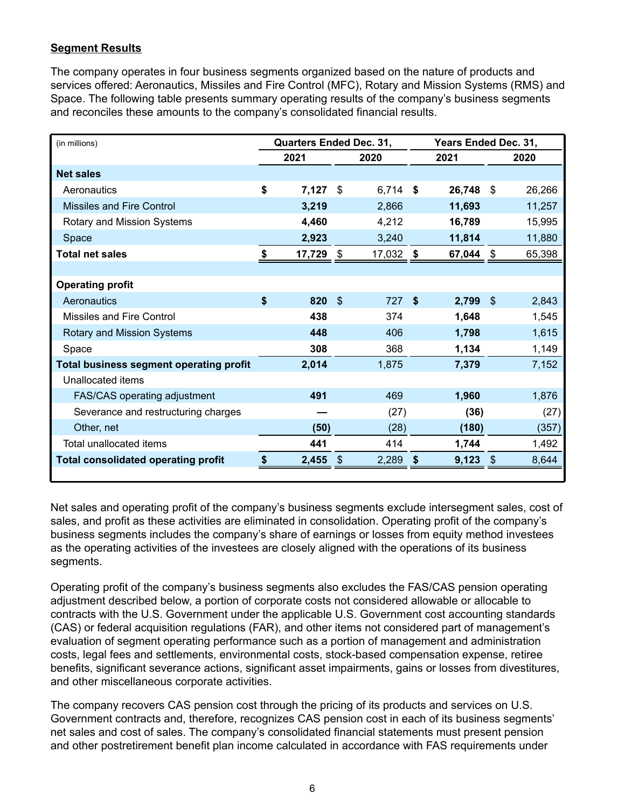## **Segment Results**

The company operates in four business segments organized based on the nature of products and services offered: Aeronautics, Missiles and Fire Control (MFC), Rotary and Mission Systems (RMS) and Space. The following table presents summary operating results of the company's business segments and reconciles these amounts to the company's consolidated financial results.

| (in millions)                                  |    | <b>Quarters Ended Dec. 31,</b> |      |            |      | Years Ended Dec. 31, |      |        |
|------------------------------------------------|----|--------------------------------|------|------------|------|----------------------|------|--------|
|                                                |    | 2021                           |      | 2020       |      | 2021                 |      | 2020   |
| <b>Net sales</b>                               |    |                                |      |            |      |                      |      |        |
| Aeronautics                                    | \$ | 7,127                          | \$   | $6,714$ \$ |      | 26,748               | \$   | 26,266 |
| Missiles and Fire Control                      |    | 3,219                          |      | 2,866      |      | 11,693               |      | 11,257 |
| Rotary and Mission Systems                     |    | 4,460                          |      | 4,212      |      | 16,789               |      | 15,995 |
| <b>Space</b>                                   |    | 2,923                          |      | 3,240      |      | 11,814               |      | 11,880 |
| <b>Total net sales</b>                         | S  | 17,729                         | \$   | 17,032     | - \$ | 67,044               | -\$  | 65,398 |
|                                                |    |                                |      |            |      |                      |      |        |
| <b>Operating profit</b>                        |    |                                |      |            |      |                      |      |        |
| Aeronautics                                    | \$ | 820                            | - \$ | 727 \$     |      | $2,799$ \$           |      | 2,843  |
| Missiles and Fire Control                      |    | 438                            |      | 374        |      | 1,648                |      | 1,545  |
| Rotary and Mission Systems                     |    | 448                            |      | 406        |      | 1,798                |      | 1,615  |
| Space                                          |    | 308                            |      | 368        |      | 1,134                |      | 1,149  |
| <b>Total business segment operating profit</b> |    | 2,014                          |      | 1,875      |      | 7,379                |      | 7,152  |
| Unallocated items                              |    |                                |      |            |      |                      |      |        |
| <b>FAS/CAS operating adjustment</b>            |    | 491                            |      | 469        |      | 1,960                |      | 1,876  |
| Severance and restructuring charges            |    |                                |      | (27)       |      | (36)                 |      | (27)   |
| Other, net                                     |    | (50)                           |      | (28)       |      | (180)                |      | (357)  |
| Total unallocated items                        |    | 441                            |      | 414        |      | 1,744                |      | 1,492  |
| <b>Total consolidated operating profit</b>     |    | 2,455                          | -\$  | 2,289      | S    | 9,123                | - \$ | 8,644  |
|                                                |    |                                |      |            |      |                      |      |        |

Net sales and operating profit of the company's business segments exclude intersegment sales, cost of sales, and profit as these activities are eliminated in consolidation. Operating profit of the company's business segments includes the company's share of earnings or losses from equity method investees as the operating activities of the investees are closely aligned with the operations of its business segments.

Operating profit of the company's business segments also excludes the FAS/CAS pension operating adjustment described below, a portion of corporate costs not considered allowable or allocable to contracts with the U.S. Government under the applicable U.S. Government cost accounting standards (CAS) or federal acquisition regulations (FAR), and other items not considered part of management's evaluation of segment operating performance such as a portion of management and administration costs, legal fees and settlements, environmental costs, stock-based compensation expense, retiree benefits, significant severance actions, significant asset impairments, gains or losses from divestitures, and other miscellaneous corporate activities.

The company recovers CAS pension cost through the pricing of its products and services on U.S. Government contracts and, therefore, recognizes CAS pension cost in each of its business segments' net sales and cost of sales. The company's consolidated financial statements must present pension and other postretirement benefit plan income calculated in accordance with FAS requirements under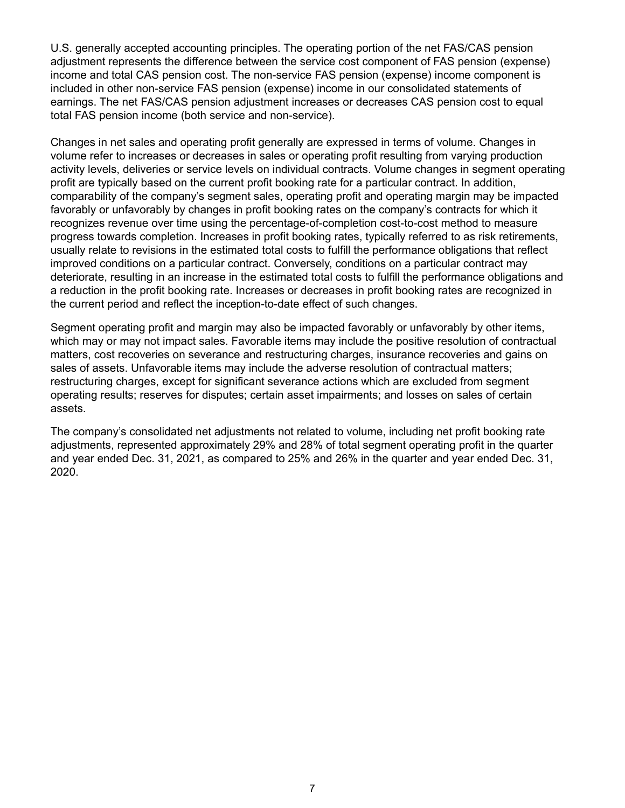U.S. generally accepted accounting principles. The operating portion of the net FAS/CAS pension adjustment represents the difference between the service cost component of FAS pension (expense) income and total CAS pension cost. The non-service FAS pension (expense) income component is included in other non-service FAS pension (expense) income in our consolidated statements of earnings. The net FAS/CAS pension adjustment increases or decreases CAS pension cost to equal total FAS pension income (both service and non-service).

Changes in net sales and operating profit generally are expressed in terms of volume. Changes in volume refer to increases or decreases in sales or operating profit resulting from varying production activity levels, deliveries or service levels on individual contracts. Volume changes in segment operating profit are typically based on the current profit booking rate for a particular contract. In addition, comparability of the company's segment sales, operating profit and operating margin may be impacted favorably or unfavorably by changes in profit booking rates on the company's contracts for which it recognizes revenue over time using the percentage-of-completion cost-to-cost method to measure progress towards completion. Increases in profit booking rates, typically referred to as risk retirements, usually relate to revisions in the estimated total costs to fulfill the performance obligations that reflect improved conditions on a particular contract. Conversely, conditions on a particular contract may deteriorate, resulting in an increase in the estimated total costs to fulfill the performance obligations and a reduction in the profit booking rate. Increases or decreases in profit booking rates are recognized in the current period and reflect the inception-to-date effect of such changes.

Segment operating profit and margin may also be impacted favorably or unfavorably by other items, which may or may not impact sales. Favorable items may include the positive resolution of contractual matters, cost recoveries on severance and restructuring charges, insurance recoveries and gains on sales of assets. Unfavorable items may include the adverse resolution of contractual matters; restructuring charges, except for significant severance actions which are excluded from segment operating results; reserves for disputes; certain asset impairments; and losses on sales of certain assets.

The company's consolidated net adjustments not related to volume, including net profit booking rate adjustments, represented approximately 29% and 28% of total segment operating profit in the quarter and year ended Dec. 31, 2021, as compared to 25% and 26% in the quarter and year ended Dec. 31, 2020.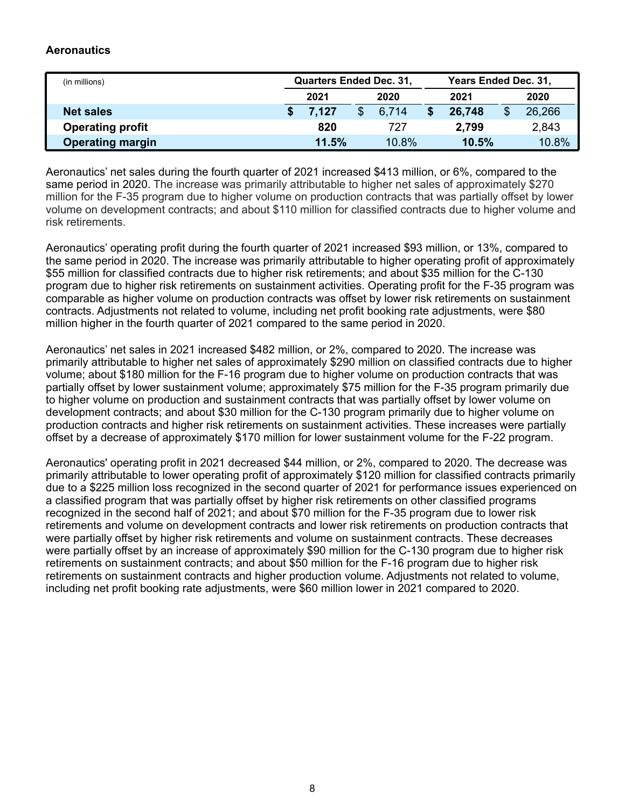## **Aeronautics**

| (in millions)           | <b>Quarters Ended Dec. 31,</b> |          | Years Ended Dec. 31, |       |       |        |  |  |
|-------------------------|--------------------------------|----------|----------------------|-------|-------|--------|--|--|
|                         | 2021                           | 2020     |                      | 2021  | 2020  |        |  |  |
| <b>Net sales</b>        | 7.127                          | 6.714    | 26,748               |       | \$    | 26,266 |  |  |
| <b>Operating profit</b> | 820                            | 727      |                      | 2,799 |       | 2,843  |  |  |
| <b>Operating margin</b> | 11.5%                          | $10.8\%$ |                      | 10.5% | 10.8% |        |  |  |

Aeronautics' net sales during the fourth quarter of 2021 increased \$413 million, or 6%, compared to the same period in 2020. The increase was primarily attributable to higher net sales of approximately \$270 million for the F-35 program due to higher volume on production contracts that was partially offset by lower volume on development contracts; and about \$110 million for classified contracts due to higher volume and risk retirements.

Aeronautics' operating profit during the fourth quarter of 2021 increased \$93 million, or 13%, compared to the same period in 2020. The increase was primarily attributable to higher operating profit of approximately \$55 million for classified contracts due to higher risk retirements; and about \$35 million for the C-130 program due to higher risk retirements on sustainment activities. Operating profit for the F-35 program was comparable as higher volume on production contracts was offset by lower risk retirements on sustainment contracts. Adjustments not related to volume, including net profit booking rate adjustments, were \$80 million higher in the fourth quarter of 2021 compared to the same period in 2020.

Aeronautics' net sales in 2021 increased \$482 million, or 2%, compared to 2020. The increase was primarily attributable to higher net sales of approximately \$290 million on classified contracts due to higher volume; about \$180 million for the F-16 program due to higher volume on production contracts that was partially offset by lower sustainment volume; approximately \$75 million for the F-35 program primarily due to higher volume on production and sustainment contracts that was partially offset by lower volume on development contracts; and about \$30 million for the C-130 program primarily due to higher volume on production contracts and higher risk retirements on sustainment activities. These increases were partially offset by a decrease of approximately \$170 million for lower sustainment volume for the F-22 program.

Aeronautics' operating profit in 2021 decreased \$44 million, or 2%, compared to 2020. The decrease was primarily attributable to lower operating profit of approximately \$120 million for classified contracts primarily due to a \$225 million loss recognized in the second quarter of 2021 for performance issues experienced on a classified program that was partially offset by higher risk retirements on other classified programs recognized in the second half of 2021; and about \$70 million for the F-35 program due to lower risk retirements and volume on development contracts and lower risk retirements on production contracts that were partially offset by higher risk retirements and volume on sustainment contracts. These decreases were partially offset by an increase of approximately \$90 million for the C-130 program due to higher risk retirements on sustainment contracts; and about \$50 million for the F-16 program due to higher risk retirements on sustainment contracts and higher production volume. Adjustments not related to volume, including net profit booking rate adjustments, were \$60 million lower in 2021 compared to 2020.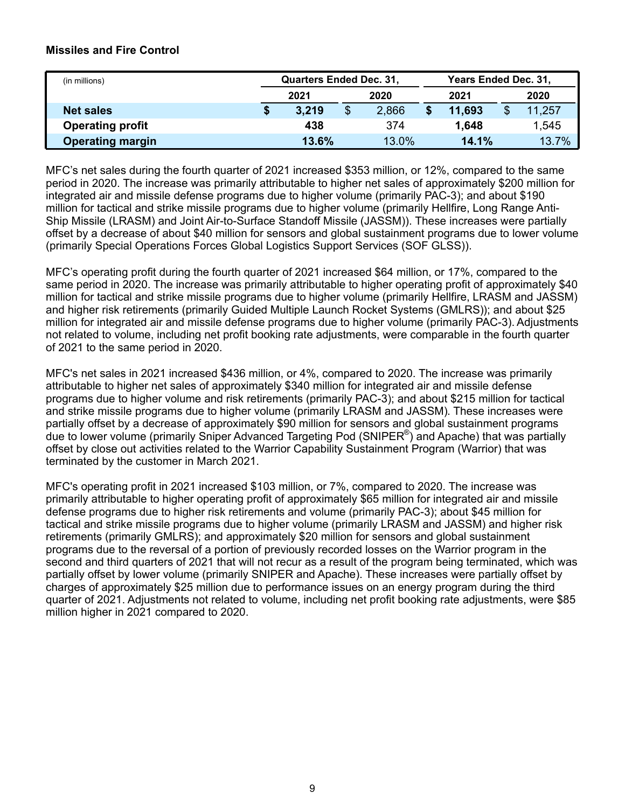## **Missiles and Fire Control**

| (in millions)           | <b>Quarters Ended Dec. 31,</b> |    |       | Years Ended Dec. 31, |        |  |        |  |  |
|-------------------------|--------------------------------|----|-------|----------------------|--------|--|--------|--|--|
|                         | 2021<br>2020                   |    |       |                      | 2021   |  | 2020   |  |  |
| <b>Net sales</b>        | 3.219                          | \$ | 2,866 |                      | 11.693 |  | 11,257 |  |  |
| <b>Operating profit</b> | 438                            |    | 374   |                      | 1.648  |  | 1,545  |  |  |
| <b>Operating margin</b> | 13.6%                          |    | 13.0% |                      | 14.1%  |  | 13.7%  |  |  |

MFC's net sales during the fourth quarter of 2021 increased \$353 million, or 12%, compared to the same period in 2020. The increase was primarily attributable to higher net sales of approximately \$200 million for integrated air and missile defense programs due to higher volume (primarily PAC-3); and about \$190 million for tactical and strike missile programs due to higher volume (primarily Hellfire, Long Range Anti-Ship Missile (LRASM) and Joint Air-to-Surface Standoff Missile (JASSM)). These increases were partially offset by a decrease of about \$40 million for sensors and global sustainment programs due to lower volume (primarily Special Operations Forces Global Logistics Support Services (SOF GLSS)).

MFC's operating profit during the fourth quarter of 2021 increased \$64 million, or 17%, compared to the same period in 2020. The increase was primarily attributable to higher operating profit of approximately \$40 million for tactical and strike missile programs due to higher volume (primarily Hellfire, LRASM and JASSM) and higher risk retirements (primarily Guided Multiple Launch Rocket Systems (GMLRS)); and about \$25 million for integrated air and missile defense programs due to higher volume (primarily PAC-3). Adjustments not related to volume, including net profit booking rate adjustments, were comparable in the fourth quarter of 2021 to the same period in 2020.

MFC's net sales in 2021 increased \$436 million, or 4%, compared to 2020. The increase was primarily attributable to higher net sales of approximately \$340 million for integrated air and missile defense programs due to higher volume and risk retirements (primarily PAC-3); and about \$215 million for tactical and strike missile programs due to higher volume (primarily LRASM and JASSM). These increases were partially offset by a decrease of approximately \$90 million for sensors and global sustainment programs due to lower volume (primarily Sniper Advanced Targeting Pod (SNIPER®) and Apache) that was partially offset by close out activities related to the Warrior Capability Sustainment Program (Warrior) that was terminated by the customer in March 2021.

MFC's operating profit in 2021 increased \$103 million, or 7%, compared to 2020. The increase was primarily attributable to higher operating profit of approximately \$65 million for integrated air and missile defense programs due to higher risk retirements and volume (primarily PAC-3); about \$45 million for tactical and strike missile programs due to higher volume (primarily LRASM and JASSM) and higher risk retirements (primarily GMLRS); and approximately \$20 million for sensors and global sustainment programs due to the reversal of a portion of previously recorded losses on the Warrior program in the second and third quarters of 2021 that will not recur as a result of the program being terminated, which was partially offset by lower volume (primarily SNIPER and Apache). These increases were partially offset by charges of approximately \$25 million due to performance issues on an energy program during the third quarter of 2021. Adjustments not related to volume, including net profit booking rate adjustments, were \$85 million higher in 2021 compared to 2020.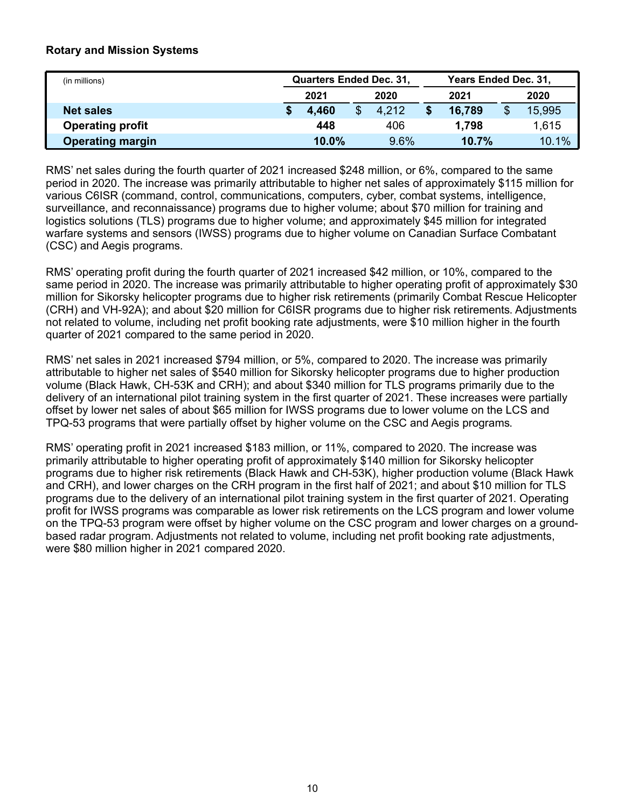## **Rotary and Mission Systems**

| (in millions)           | <b>Quarters Ended Dec. 31,</b> |  |       | Years Ended Dec. 31, |        |       |        |  |  |
|-------------------------|--------------------------------|--|-------|----------------------|--------|-------|--------|--|--|
|                         | 2020<br>2021                   |  |       |                      | 2021   |       | 2020   |  |  |
| <b>Net sales</b>        | 4.460                          |  | 4.212 |                      | 16,789 |       | 15,995 |  |  |
| <b>Operating profit</b> | 448                            |  | 406   |                      | 1,798  |       | 1,615  |  |  |
| <b>Operating margin</b> | $10.0\%$                       |  | 9.6%  |                      | 10.7%  | 10.1% |        |  |  |

RMS' net sales during the fourth quarter of 2021 increased \$248 million, or 6%, compared to the same period in 2020. The increase was primarily attributable to higher net sales of approximately \$115 million for various C6ISR (command, control, communications, computers, cyber, combat systems, intelligence, surveillance, and reconnaissance) programs due to higher volume; about \$70 million for training and logistics solutions (TLS) programs due to higher volume; and approximately \$45 million for integrated warfare systems and sensors (IWSS) programs due to higher volume on Canadian Surface Combatant (CSC) and Aegis programs.

RMS' operating profit during the fourth quarter of 2021 increased \$42 million, or 10%, compared to the same period in 2020. The increase was primarily attributable to higher operating profit of approximately \$30 million for Sikorsky helicopter programs due to higher risk retirements (primarily Combat Rescue Helicopter (CRH) and VH-92A); and about \$20 million for C6ISR programs due to higher risk retirements. Adjustments not related to volume, including net profit booking rate adjustments, were \$10 million higher in the fourth quarter of 2021 compared to the same period in 2020.

RMS' net sales in 2021 increased \$794 million, or 5%, compared to 2020. The increase was primarily attributable to higher net sales of \$540 million for Sikorsky helicopter programs due to higher production volume (Black Hawk, CH-53K and CRH); and about \$340 million for TLS programs primarily due to the delivery of an international pilot training system in the first quarter of 2021. These increases were partially offset by lower net sales of about \$65 million for IWSS programs due to lower volume on the LCS and TPQ-53 programs that were partially offset by higher volume on the CSC and Aegis programs.

RMS' operating profit in 2021 increased \$183 million, or 11%, compared to 2020. The increase was primarily attributable to higher operating profit of approximately \$140 million for Sikorsky helicopter programs due to higher risk retirements (Black Hawk and CH-53K), higher production volume (Black Hawk and CRH), and lower charges on the CRH program in the first half of 2021; and about \$10 million for TLS programs due to the delivery of an international pilot training system in the first quarter of 2021. Operating profit for IWSS programs was comparable as lower risk retirements on the LCS program and lower volume on the TPQ-53 program were offset by higher volume on the CSC program and lower charges on a groundbased radar program. Adjustments not related to volume, including net profit booking rate adjustments, were \$80 million higher in 2021 compared 2020.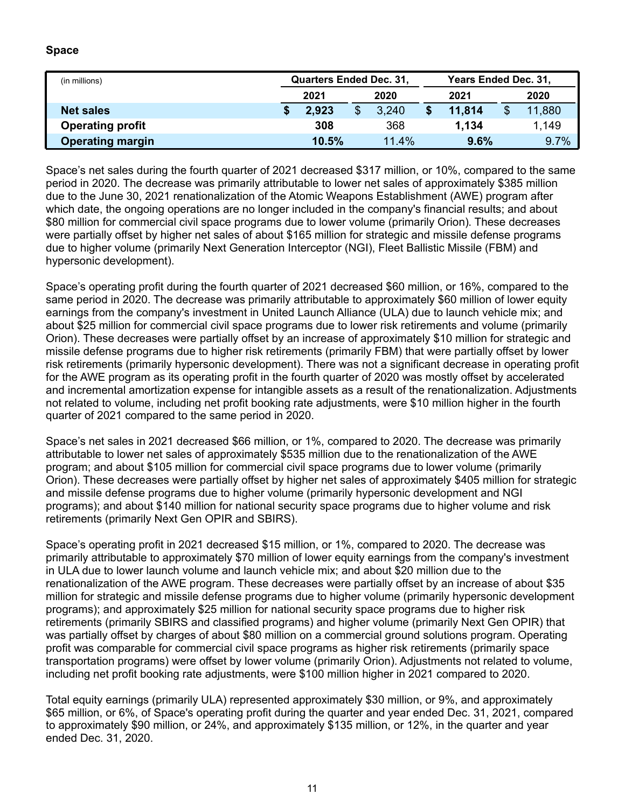## **Space**

| (in millions)           | <b>Quarters Ended Dec. 31,</b> |       | Years Ended Dec. 31, |        |      |        |  |  |
|-------------------------|--------------------------------|-------|----------------------|--------|------|--------|--|--|
|                         | 2021                           | 2020  |                      | 2021   | 2020 |        |  |  |
| <b>Net sales</b>        | 2,923                          | 3.240 |                      | 11.814 |      | 11,880 |  |  |
| <b>Operating profit</b> | 308                            | 368   |                      | 1,134  |      | 1,149  |  |  |
| <b>Operating margin</b> | 10.5%                          | 11.4% |                      | 9.6%   |      | 9.7%   |  |  |

Space's net sales during the fourth quarter of 2021 decreased \$317 million, or 10%, compared to the same period in 2020. The decrease was primarily attributable to lower net sales of approximately \$385 million due to the June 30, 2021 renationalization of the Atomic Weapons Establishment (AWE) program after which date, the ongoing operations are no longer included in the company's financial results; and about \$80 million for commercial civil space programs due to lower volume (primarily Orion). These decreases were partially offset by higher net sales of about \$165 million for strategic and missile defense programs due to higher volume (primarily Next Generation Interceptor (NGI), Fleet Ballistic Missile (FBM) and hypersonic development).

Space's operating profit during the fourth quarter of 2021 decreased \$60 million, or 16%, compared to the same period in 2020. The decrease was primarily attributable to approximately \$60 million of lower equity earnings from the company's investment in United Launch Alliance (ULA) due to launch vehicle mix; and about \$25 million for commercial civil space programs due to lower risk retirements and volume (primarily Orion). These decreases were partially offset by an increase of approximately \$10 million for strategic and missile defense programs due to higher risk retirements (primarily FBM) that were partially offset by lower risk retirements (primarily hypersonic development). There was not a significant decrease in operating profit for the AWE program as its operating profit in the fourth quarter of 2020 was mostly offset by accelerated and incremental amortization expense for intangible assets as a result of the renationalization. Adjustments not related to volume, including net profit booking rate adjustments, were \$10 million higher in the fourth quarter of 2021 compared to the same period in 2020.

Space's net sales in 2021 decreased \$66 million, or 1%, compared to 2020. The decrease was primarily attributable to lower net sales of approximately \$535 million due to the renationalization of the AWE program; and about \$105 million for commercial civil space programs due to lower volume (primarily Orion). These decreases were partially offset by higher net sales of approximately \$405 million for strategic and missile defense programs due to higher volume (primarily hypersonic development and NGI programs); and about \$140 million for national security space programs due to higher volume and risk retirements (primarily Next Gen OPIR and SBIRS).

Space's operating profit in 2021 decreased \$15 million, or 1%, compared to 2020. The decrease was primarily attributable to approximately \$70 million of lower equity earnings from the company's investment in ULA due to lower launch volume and launch vehicle mix; and about \$20 million due to the renationalization of the AWE program. These decreases were partially offset by an increase of about \$35 million for strategic and missile defense programs due to higher volume (primarily hypersonic development programs); and approximately \$25 million for national security space programs due to higher risk retirements (primarily SBIRS and classified programs) and higher volume (primarily Next Gen OPIR) that was partially offset by charges of about \$80 million on a commercial ground solutions program. Operating profit was comparable for commercial civil space programs as higher risk retirements (primarily space transportation programs) were offset by lower volume (primarily Orion). Adjustments not related to volume, including net profit booking rate adjustments, were \$100 million higher in 2021 compared to 2020.

Total equity earnings (primarily ULA) represented approximately \$30 million, or 9%, and approximately \$65 million, or 6%, of Space's operating profit during the quarter and year ended Dec. 31, 2021, compared to approximately \$90 million, or 24%, and approximately \$135 million, or 12%, in the quarter and year ended Dec. 31, 2020.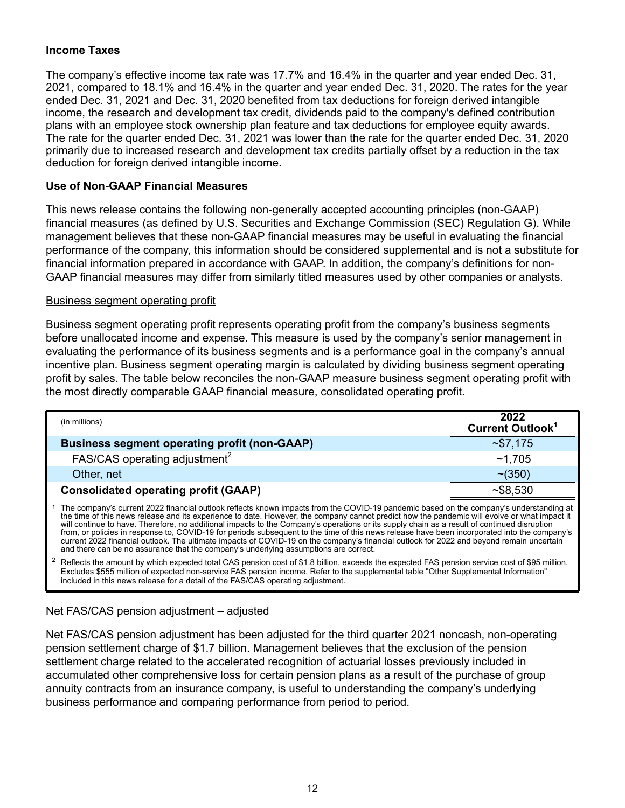## **Income Taxes**

The company's effective income tax rate was 17.7% and 16.4% in the quarter and year ended Dec. 31, 2021, compared to 18.1% and 16.4% in the quarter and year ended Dec. 31, 2020. The rates for the year ended Dec. 31, 2021 and Dec. 31, 2020 benefited from tax deductions for foreign derived intangible income, the research and development tax credit, dividends paid to the company's defined contribution plans with an employee stock ownership plan feature and tax deductions for employee equity awards. The rate for the quarter ended Dec. 31, 2021 was lower than the rate for the quarter ended Dec. 31, 2020 primarily due to increased research and development tax credits partially offset by a reduction in the tax deduction for foreign derived intangible income.

## **Use of Non-GAAP Financial Measures**

This news release contains the following non-generally accepted accounting principles (non-GAAP) financial measures (as defined by U.S. Securities and Exchange Commission (SEC) Regulation G). While management believes that these non-GAAP financial measures may be useful in evaluating the financial performance of the company, this information should be considered supplemental and is not a substitute for financial information prepared in accordance with GAAP. In addition, the company's definitions for non-GAAP financial measures may differ from similarly titled measures used by other companies or analysts.

#### Business segment operating profit

Business segment operating profit represents operating profit from the company's business segments before unallocated income and expense. This measure is used by the company's senior management in evaluating the performance of its business segments and is a performance goal in the company's annual incentive plan. Business segment operating margin is calculated by dividing business segment operating profit by sales. The table below reconciles the non-GAAP measure business segment operating profit with the most directly comparable GAAP financial measure, consolidated operating profit.

| (in millions)                                                                                                                                                                                                                                                                                                                                                                                                                                                                                                                                                                                                                                                                                                                                                                                                             | 2022<br>Current Outlook <sup>1</sup> |
|---------------------------------------------------------------------------------------------------------------------------------------------------------------------------------------------------------------------------------------------------------------------------------------------------------------------------------------------------------------------------------------------------------------------------------------------------------------------------------------------------------------------------------------------------------------------------------------------------------------------------------------------------------------------------------------------------------------------------------------------------------------------------------------------------------------------------|--------------------------------------|
| <b>Business segment operating profit (non-GAAP)</b>                                                                                                                                                                                                                                                                                                                                                                                                                                                                                                                                                                                                                                                                                                                                                                       | ~57,175                              |
| FAS/CAS operating adjustment <sup>2</sup>                                                                                                                                                                                                                                                                                                                                                                                                                                                                                                                                                                                                                                                                                                                                                                                 | ~1.705                               |
| Other, net                                                                                                                                                                                                                                                                                                                                                                                                                                                                                                                                                                                                                                                                                                                                                                                                                | $~10^{-1}$ (350)                     |
| <b>Consolidated operating profit (GAAP)</b>                                                                                                                                                                                                                                                                                                                                                                                                                                                                                                                                                                                                                                                                                                                                                                               | ~58,530                              |
| The company's current 2022 financial outlook reflects known impacts from the COVID-19 pandemic based on the company's understanding at<br>the time of this news release and its experience to date. However, the company cannot predict how the pandemic will evolve or what impact it<br>will continue to have. Therefore, no additional impacts to the Company's operations or its supply chain as a result of continued disruption<br>from, or policies in response to, COVID-19 for periods subsequent to the time of this news release have been incorporated into the company's<br>current 2022 financial outlook. The ultimate impacts of COVID-19 on the company's financial outlook for 2022 and beyond remain uncertain<br>and there can be no assurance that the company's underlying assumptions are correct. |                                      |

<sup>2</sup> Reflects the amount by which expected total CAS pension cost of \$1.8 billion, exceeds the expected FAS pension service cost of \$95 million. Excludes \$555 million of expected non-service FAS pension income. Refer to the supplemental table "Other Supplemental Information" included in this news release for a detail of the FAS/CAS operating adjustment.

## Net FAS/CAS pension adjustment – adjusted

Net FAS/CAS pension adjustment has been adjusted for the third quarter 2021 noncash, non-operating pension settlement charge of \$1.7 billion. Management believes that the exclusion of the pension settlement charge related to the accelerated recognition of actuarial losses previously included in accumulated other comprehensive loss for certain pension plans as a result of the purchase of group annuity contracts from an insurance company, is useful to understanding the company's underlying business performance and comparing performance from period to period.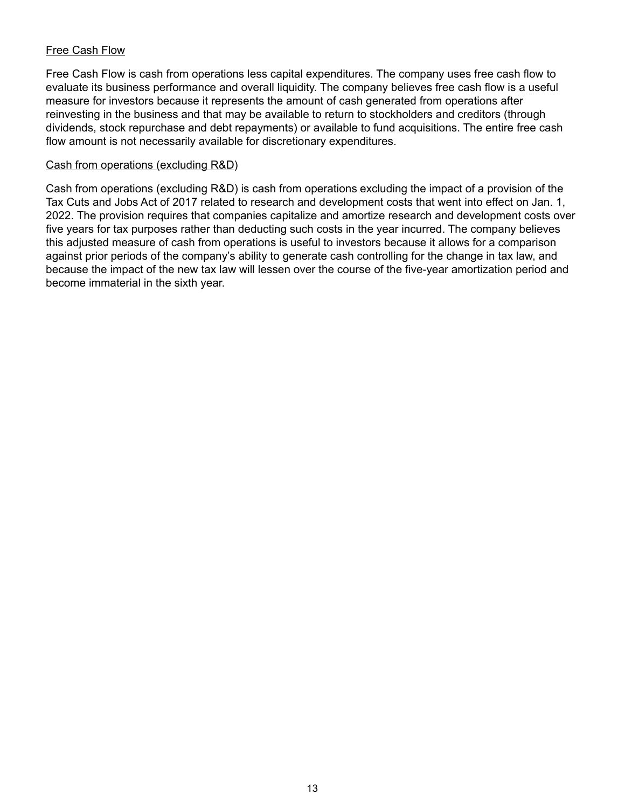## Free Cash Flow

Free Cash Flow is cash from operations less capital expenditures. The company uses free cash flow to evaluate its business performance and overall liquidity. The company believes free cash flow is a useful measure for investors because it represents the amount of cash generated from operations after reinvesting in the business and that may be available to return to stockholders and creditors (through dividends, stock repurchase and debt repayments) or available to fund acquisitions. The entire free cash flow amount is not necessarily available for discretionary expenditures.

## Cash from operations (excluding R&D)

Cash from operations (excluding R&D) is cash from operations excluding the impact of a provision of the Tax Cuts and Jobs Act of 2017 related to research and development costs that went into effect on Jan. 1, 2022. The provision requires that companies capitalize and amortize research and development costs over five years for tax purposes rather than deducting such costs in the year incurred. The company believes this adjusted measure of cash from operations is useful to investors because it allows for a comparison against prior periods of the company's ability to generate cash controlling for the change in tax law, and because the impact of the new tax law will lessen over the course of the five-year amortization period and become immaterial in the sixth year.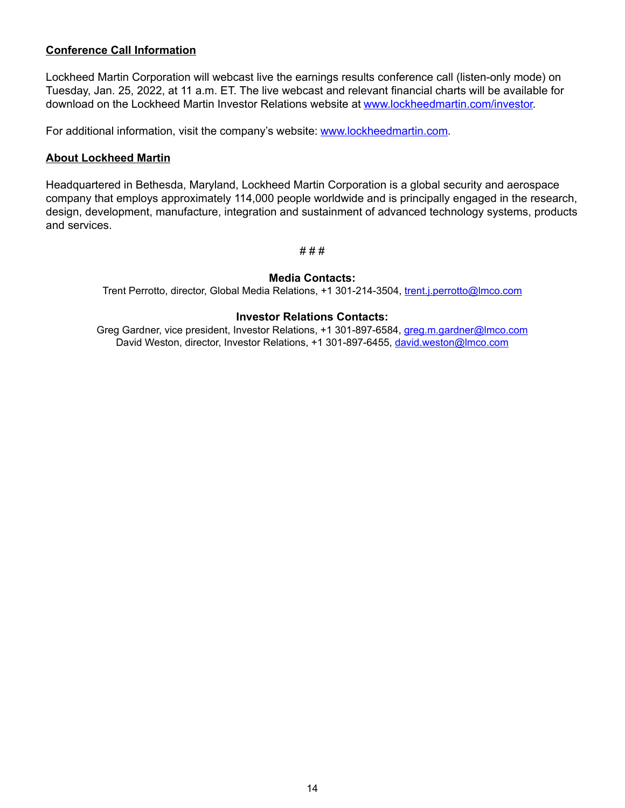## **Conference Call Information**

Lockheed Martin Corporation will webcast live the earnings results conference call (listen-only mode) on Tuesday, Jan. 25, 2022, at 11 a.m. ET. The live webcast and relevant financial charts will be available for download on the Lockheed Martin Investor Relations website at www.lockheedmartin.com/investor.

For additional information, visit the company's website: www.lockheedmartin.com.

## **About Lockheed Martin**

Headquartered in Bethesda, Maryland, Lockheed Martin Corporation is a global security and aerospace company that employs approximately 114,000 people worldwide and is principally engaged in the research, design, development, manufacture, integration and sustainment of advanced technology systems, products and services.

#### # # #

## **Media Contacts:**

Trent Perrotto, director, Global Media Relations, +1 301-214-3504, trent.j.perrotto@lmco.com

#### **Investor Relations Contacts:**

Greg Gardner, vice president, Investor Relations, +1 301-897-6584, greg.m.gardner@lmco.com David Weston, director, Investor Relations, +1 301-897-6455, david.weston@lmco.com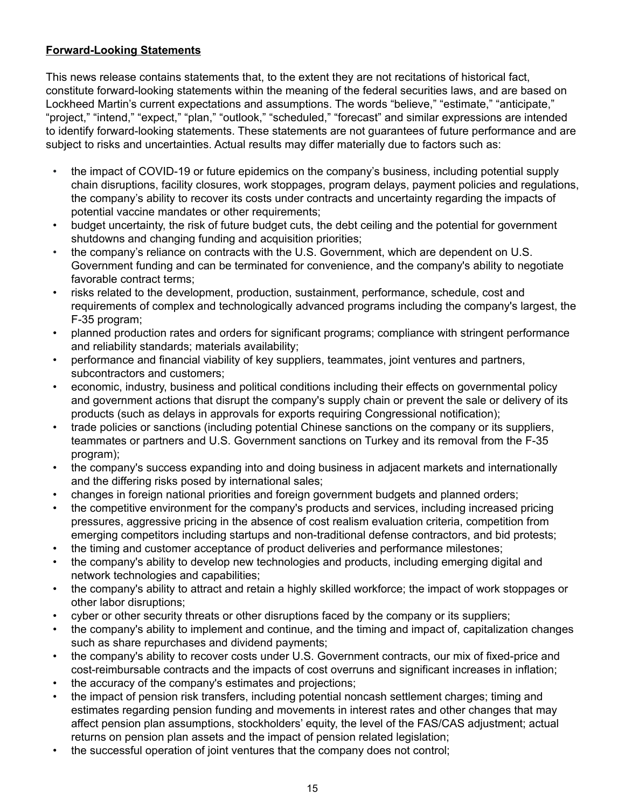## **Forward-Looking Statements**

This news release contains statements that, to the extent they are not recitations of historical fact, constitute forward-looking statements within the meaning of the federal securities laws, and are based on Lockheed Martin's current expectations and assumptions. The words "believe," "estimate," "anticipate," "project," "intend," "expect," "plan," "outlook," "scheduled," "forecast" and similar expressions are intended to identify forward-looking statements. These statements are not guarantees of future performance and are subject to risks and uncertainties. Actual results may differ materially due to factors such as:

- the impact of COVID-19 or future epidemics on the company's business, including potential supply chain disruptions, facility closures, work stoppages, program delays, payment policies and regulations, the company's ability to recover its costs under contracts and uncertainty regarding the impacts of potential vaccine mandates or other requirements;
- budget uncertainty, the risk of future budget cuts, the debt ceiling and the potential for government shutdowns and changing funding and acquisition priorities;
- the company's reliance on contracts with the U.S. Government, which are dependent on U.S. Government funding and can be terminated for convenience, and the company's ability to negotiate favorable contract terms;
- risks related to the development, production, sustainment, performance, schedule, cost and requirements of complex and technologically advanced programs including the company's largest, the F-35 program;
- planned production rates and orders for significant programs; compliance with stringent performance and reliability standards; materials availability;
- performance and financial viability of key suppliers, teammates, joint ventures and partners, subcontractors and customers;
- economic, industry, business and political conditions including their effects on governmental policy and government actions that disrupt the company's supply chain or prevent the sale or delivery of its products (such as delays in approvals for exports requiring Congressional notification);
- trade policies or sanctions (including potential Chinese sanctions on the company or its suppliers, teammates or partners and U.S. Government sanctions on Turkey and its removal from the F-35 program);
- the company's success expanding into and doing business in adjacent markets and internationally and the differing risks posed by international sales;
- changes in foreign national priorities and foreign government budgets and planned orders;
- the competitive environment for the company's products and services, including increased pricing pressures, aggressive pricing in the absence of cost realism evaluation criteria, competition from emerging competitors including startups and non-traditional defense contractors, and bid protests;
- the timing and customer acceptance of product deliveries and performance milestones;
- the company's ability to develop new technologies and products, including emerging digital and network technologies and capabilities;
- the company's ability to attract and retain a highly skilled workforce; the impact of work stoppages or other labor disruptions;
- cyber or other security threats or other disruptions faced by the company or its suppliers;
- the company's ability to implement and continue, and the timing and impact of, capitalization changes such as share repurchases and dividend payments;
- the company's ability to recover costs under U.S. Government contracts, our mix of fixed-price and cost-reimbursable contracts and the impacts of cost overruns and significant increases in inflation;
- the accuracy of the company's estimates and projections;
- the impact of pension risk transfers, including potential noncash settlement charges; timing and estimates regarding pension funding and movements in interest rates and other changes that may affect pension plan assumptions, stockholders' equity, the level of the FAS/CAS adjustment; actual returns on pension plan assets and the impact of pension related legislation;
- the successful operation of joint ventures that the company does not control;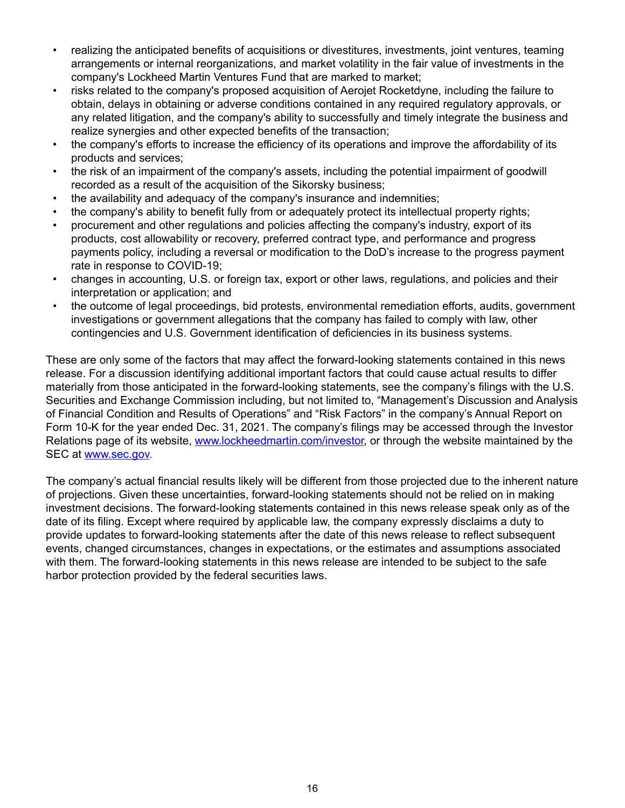- realizing the anticipated benefits of acquisitions or divestitures, investments, joint ventures, teaming arrangements or internal reorganizations, and market volatility in the fair value of investments in the company's Lockheed Martin Ventures Fund that are marked to market;
- risks related to the company's proposed acquisition of Aerojet Rocketdyne, including the failure to obtain, delays in obtaining or adverse conditions contained in any required regulatory approvals, or any related litigation, and the company's ability to successfully and timely integrate the business and realize synergies and other expected benefits of the transaction;
- the company's efforts to increase the efficiency of its operations and improve the affordability of its products and services;
- the risk of an impairment of the company's assets, including the potential impairment of goodwill recorded as a result of the acquisition of the Sikorsky business;
- the availability and adequacy of the company's insurance and indemnities;
- the company's ability to benefit fully from or adequately protect its intellectual property rights;
- procurement and other regulations and policies affecting the company's industry, export of its products, cost allowability or recovery, preferred contract type, and performance and progress payments policy, including a reversal or modification to the DoD's increase to the progress payment rate in response to COVID-19;
- changes in accounting, U.S. or foreign tax, export or other laws, regulations, and policies and their interpretation or application; and
- the outcome of legal proceedings, bid protests, environmental remediation efforts, audits, government investigations or government allegations that the company has failed to comply with law, other contingencies and U.S. Government identification of deficiencies in its business systems.

These are only some of the factors that may affect the forward-looking statements contained in this news release. For a discussion identifying additional important factors that could cause actual results to differ materially from those anticipated in the forward-looking statements, see the company's filings with the U.S. Securities and Exchange Commission including, but not limited to, "Management's Discussion and Analysis of Financial Condition and Results of Operations" and "Risk Factors" in the company's Annual Report on Form 10-K for the year ended Dec. 31, 2021. The company's filings may be accessed through the Investor Relations page of its website, www.lockheedmartin.com/investor, or through the website maintained by the SEC at www.sec.gov.

The company's actual financial results likely will be different from those projected due to the inherent nature of projections. Given these uncertainties, forward-looking statements should not be relied on in making investment decisions. The forward-looking statements contained in this news release speak only as of the date of its filing. Except where required by applicable law, the company expressly disclaims a duty to provide updates to forward-looking statements after the date of this news release to reflect subsequent events, changed circumstances, changes in expectations, or the estimates and assumptions associated with them. The forward-looking statements in this news release are intended to be subject to the safe harbor protection provided by the federal securities laws.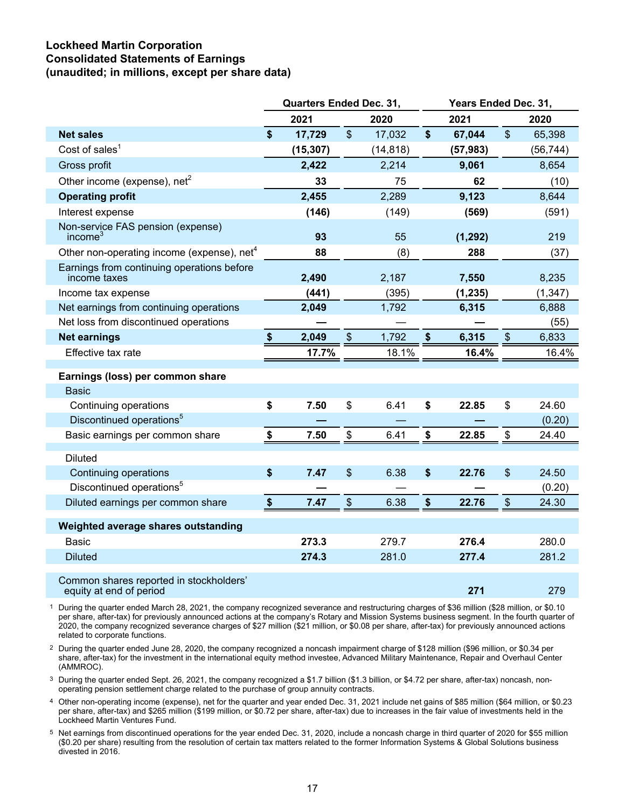## **Lockheed Martin Corporation Consolidated Statements of Earnings (unaudited; in millions, except per share data)**

|                                                                    |                        | <b>Quarters Ended Dec. 31,</b> |                           |           | Years Ended Dec. 31, |           |                           |           |  |  |  |
|--------------------------------------------------------------------|------------------------|--------------------------------|---------------------------|-----------|----------------------|-----------|---------------------------|-----------|--|--|--|
|                                                                    |                        | 2021                           |                           | 2020      |                      | 2021      |                           | 2020      |  |  |  |
| <b>Net sales</b>                                                   | \$                     | 17,729                         | $\boldsymbol{\mathsf{S}}$ | 17,032    | $\boldsymbol{\$}$    | 67,044    | $\mathfrak{S}$            | 65,398    |  |  |  |
| Cost of sales <sup>1</sup>                                         |                        | (15, 307)                      |                           | (14, 818) |                      | (57, 983) |                           | (56, 744) |  |  |  |
| Gross profit                                                       |                        | 2,422                          |                           | 2,214     |                      | 9,061     |                           | 8,654     |  |  |  |
| Other income (expense), $net2$                                     |                        | 33                             |                           | 75        |                      | 62        |                           | (10)      |  |  |  |
| <b>Operating profit</b>                                            |                        | 2,455                          |                           | 2,289     |                      | 9,123     |                           | 8,644     |  |  |  |
| Interest expense                                                   |                        | (146)                          |                           | (149)     |                      | (569)     |                           | (591)     |  |  |  |
| Non-service FAS pension (expense)<br>income <sup>3</sup>           |                        | 93                             |                           | 55        |                      | (1, 292)  |                           | 219       |  |  |  |
| Other non-operating income (expense), net <sup>4</sup>             |                        | 88                             |                           | (8)       |                      | 288       |                           | (37)      |  |  |  |
| Earnings from continuing operations before<br>income taxes         |                        | 2,490                          |                           | 2,187     |                      | 7,550     |                           | 8,235     |  |  |  |
| Income tax expense                                                 |                        | (441)                          |                           | (395)     |                      | (1, 235)  |                           | (1, 347)  |  |  |  |
| Net earnings from continuing operations                            |                        | 2,049                          |                           | 1,792     |                      | 6,315     |                           | 6,888     |  |  |  |
| Net loss from discontinued operations                              |                        |                                |                           |           |                      |           |                           | (55)      |  |  |  |
| <b>Net earnings</b>                                                | $\boldsymbol{\hat{s}}$ | 2,049                          | $\boldsymbol{\mathsf{S}}$ | 1,792     | \$                   | 6,315     | $\boldsymbol{\mathsf{S}}$ | 6,833     |  |  |  |
| Effective tax rate                                                 |                        | 17.7%                          |                           | 18.1%     |                      | 16.4%     |                           | 16.4%     |  |  |  |
| Earnings (loss) per common share                                   |                        |                                |                           |           |                      |           |                           |           |  |  |  |
| Basic                                                              |                        |                                |                           |           |                      |           |                           |           |  |  |  |
| Continuing operations                                              | \$                     | 7.50                           | \$                        | 6.41      | \$                   | 22.85     | \$                        | 24.60     |  |  |  |
| Discontinued operations <sup>5</sup>                               |                        |                                |                           |           |                      |           |                           | (0.20)    |  |  |  |
| Basic earnings per common share                                    | \$                     | 7.50                           | \$                        | 6.41      | \$                   | 22.85     | \$                        | 24.40     |  |  |  |
| <b>Diluted</b>                                                     |                        |                                |                           |           |                      |           |                           |           |  |  |  |
| Continuing operations                                              | \$                     | 7.47                           | \$                        | 6.38      | \$                   | 22.76     | $\boldsymbol{\mathsf{S}}$ | 24.50     |  |  |  |
| Discontinued operations <sup>5</sup>                               |                        |                                |                           |           |                      |           |                           | (0.20)    |  |  |  |
| Diluted earnings per common share                                  | $\boldsymbol{\$}$      | 7.47                           | $\sqrt[6]{\frac{1}{2}}$   | 6.38      | $\boldsymbol{\$}$    | 22.76     | $\boldsymbol{\mathsf{S}}$ | 24.30     |  |  |  |
| Weighted average shares outstanding                                |                        |                                |                           |           |                      |           |                           |           |  |  |  |
| <b>Basic</b>                                                       |                        | 273.3                          |                           | 279.7     |                      | 276.4     |                           | 280.0     |  |  |  |
| <b>Diluted</b>                                                     |                        | 274.3                          |                           | 281.0     |                      | 277.4     |                           | 281.2     |  |  |  |
|                                                                    |                        |                                |                           |           |                      |           |                           |           |  |  |  |
| Common shares reported in stockholders'<br>equity at end of period |                        |                                |                           |           |                      | 271       |                           | 279       |  |  |  |

1 During the quarter ended March 28, 2021, the company recognized severance and restructuring charges of \$36 million (\$28 million, or \$0.10 per share, after-tax) for previously announced actions at the company's Rotary and Mission Systems business segment. In the fourth quarter of 2020, the company recognized severance charges of \$27 million (\$21 million, or \$0.08 per share, after-tax) for previously announced actions related to corporate functions.

2 During the quarter ended June 28, 2020, the company recognized a noncash impairment charge of \$128 million (\$96 million, or \$0.34 per share, after-tax) for the investment in the international equity method investee, Advanced Military Maintenance, Repair and Overhaul Center (AMMROC).

3 During the quarter ended Sept. 26, 2021, the company recognized a \$1.7 billion (\$1.3 billion, or \$4.72 per share, after-tax) noncash, nonoperating pension settlement charge related to the purchase of group annuity contracts.

4 Other non-operating income (expense), net for the quarter and year ended Dec. 31, 2021 include net gains of \$85 million (\$64 million, or \$0.23 per share, after-tax) and \$265 million (\$199 million, or \$0.72 per share, after-tax) due to increases in the fair value of investments held in the Lockheed Martin Ventures Fund.

5 Net earnings from discontinued operations for the year ended Dec. 31, 2020, include a noncash charge in third quarter of 2020 for \$55 million (\$0.20 per share) resulting from the resolution of certain tax matters related to the former Information Systems & Global Solutions business divested in 2016.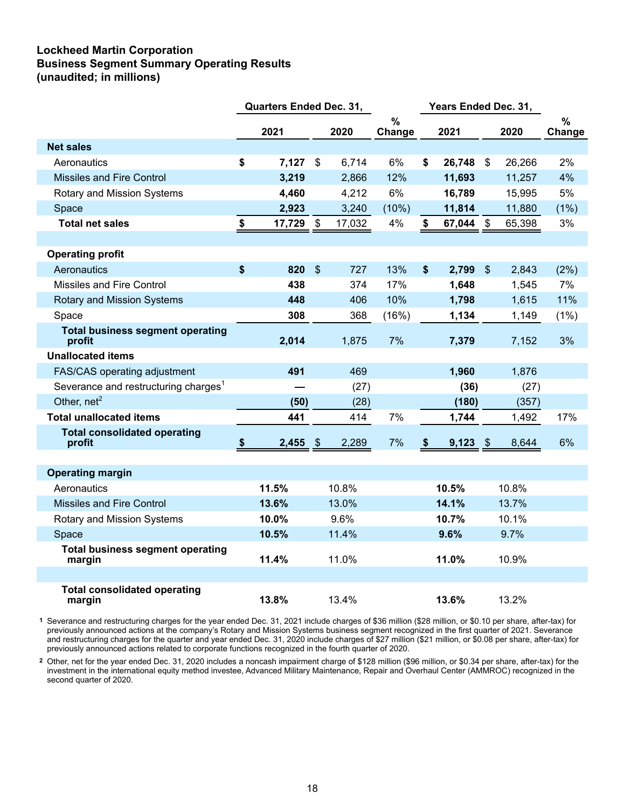## **Lockheed Martin Corporation Business Segment Summary Operating Results (unaudited; in millions)**

|                                                   | <b>Quarters Ended Dec. 31,</b> |            |                           |        |                |      | Years Ended Dec. 31, |                           |        |             |
|---------------------------------------------------|--------------------------------|------------|---------------------------|--------|----------------|------|----------------------|---------------------------|--------|-------------|
|                                                   |                                | 2021       |                           | 2020   | $\%$<br>Change |      | 2021                 |                           | 2020   | %<br>Change |
| <b>Net sales</b>                                  |                                |            |                           |        |                |      |                      |                           |        |             |
| Aeronautics                                       | \$                             | $7,127$ \$ |                           | 6,714  | 6%             | \$   | 26,748               | $\boldsymbol{\mathsf{S}}$ | 26,266 | 2%          |
| <b>Missiles and Fire Control</b>                  |                                | 3,219      |                           | 2,866  | 12%            |      | 11,693               |                           | 11,257 | 4%          |
| Rotary and Mission Systems                        |                                | 4,460      |                           | 4,212  | 6%             |      | 16,789               |                           | 15,995 | 5%          |
| Space                                             |                                | 2,923      |                           | 3,240  | (10%)          |      | 11,814               |                           | 11,880 | $(1\%)$     |
| <b>Total net sales</b>                            | \$                             | 17,729     | \$                        | 17,032 | 4%             | \$   | 67,044               | \$                        | 65,398 | 3%          |
|                                                   |                                |            |                           |        |                |      |                      |                           |        |             |
| <b>Operating profit</b>                           |                                |            |                           |        |                |      |                      |                           |        |             |
| Aeronautics                                       | \$                             | 820        | $\boldsymbol{\mathsf{S}}$ | 727    | 13%            | \$   | 2,799                | $\$\$                     | 2,843  | (2%)        |
| Missiles and Fire Control                         |                                | 438        |                           | 374    | 17%            |      | 1,648                |                           | 1,545  | 7%          |
| <b>Rotary and Mission Systems</b>                 |                                | 448        |                           | 406    | 10%            |      | 1,798                |                           | 1,615  | 11%         |
| Space                                             |                                | 308        |                           | 368    | (16%)          |      | 1,134                |                           | 1,149  | (1%)        |
| <b>Total business segment operating</b><br>profit |                                | 2,014      |                           | 1,875  | 7%             |      | 7,379                |                           | 7,152  | 3%          |
| <b>Unallocated items</b>                          |                                |            |                           |        |                |      |                      |                           |        |             |
| FAS/CAS operating adjustment                      |                                | 491        |                           | 469    |                |      | 1,960                |                           | 1,876  |             |
| Severance and restructuring charges <sup>1</sup>  |                                |            | (27)                      |        |                | (36) |                      | (27)                      |        |             |
| Other, net <sup>2</sup>                           |                                | (50)       |                           | (28)   |                |      | (180)                |                           | (357)  |             |
| <b>Total unallocated items</b>                    |                                | 441        |                           | 414    | 7%             |      | 1,744                |                           | 1,492  | 17%         |
| <b>Total consolidated operating</b><br>profit     | \$                             | 2,455      | $\sqrt[6]{3}$             | 2,289  | 7%             | \$   | 9,123                | $\sqrt[6]{\frac{1}{2}}$   | 8,644  | 6%          |
|                                                   |                                |            |                           |        |                |      |                      |                           |        |             |
| <b>Operating margin</b>                           |                                |            |                           |        |                |      |                      |                           |        |             |
| Aeronautics                                       |                                | 11.5%      |                           | 10.8%  |                |      | 10.5%                |                           | 10.8%  |             |
| Missiles and Fire Control                         |                                | 13.6%      |                           | 13.0%  |                |      | 14.1%                |                           | 13.7%  |             |
| Rotary and Mission Systems                        |                                | 10.0%      |                           | 9.6%   |                |      | 10.7%                |                           | 10.1%  |             |
| Space                                             |                                | 10.5%      |                           | 11.4%  |                |      | 9.6%                 |                           | 9.7%   |             |
| <b>Total business segment operating</b><br>margin |                                | 11.4%      |                           | 11.0%  |                |      | 11.0%                |                           | 10.9%  |             |
|                                                   |                                |            |                           |        |                |      |                      |                           |        |             |
| <b>Total consolidated operating</b><br>margin     |                                | 13.8%      |                           | 13.4%  |                |      | 13.6%                |                           | 13.2%  |             |

**1** Severance and restructuring charges for the year ended Dec. 31, 2021 include charges of \$36 million (\$28 million, or \$0.10 per share, after-tax) for previously announced actions at the company's Rotary and Mission Systems business segment recognized in the first quarter of 2021. Severance and restructuring charges for the quarter and year ended Dec. 31, 2020 include charges of \$27 million (\$21 million, or \$0.08 per share, after-tax) for previously announced actions related to corporate functions recognized in the fourth quarter of 2020.

**2** Other, net for the year ended Dec. 31, 2020 includes a noncash impairment charge of \$128 million (\$96 million, or \$0.34 per share, after-tax) for the investment in the international equity method investee, Advanced Military Maintenance, Repair and Overhaul Center (AMMROC) recognized in the second quarter of 2020.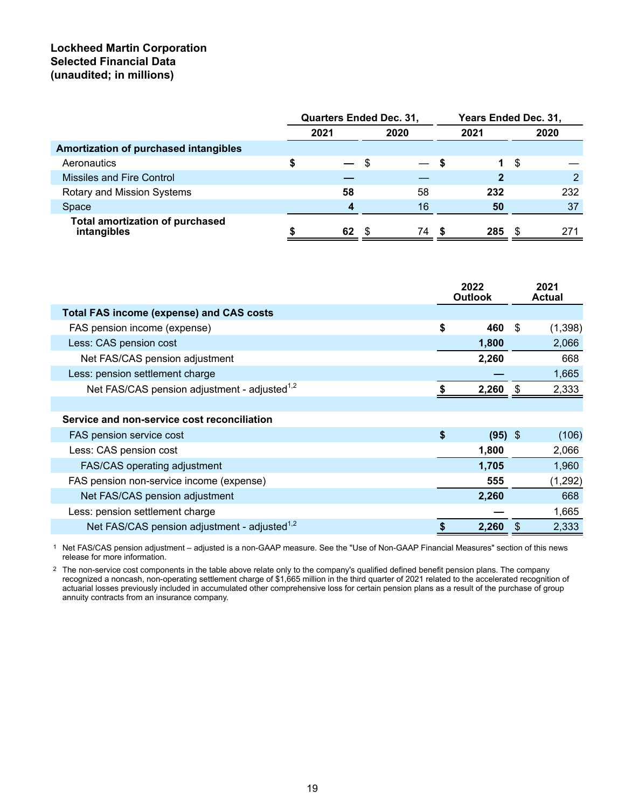## **Lockheed Martin Corporation Selected Financial Data (unaudited; in millions)**

|                                                       | <b>Quarters Ended Dec. 31,</b> |    |      |    | Years Ended Dec. 31, |      |      |      |  |  |
|-------------------------------------------------------|--------------------------------|----|------|----|----------------------|------|------|------|--|--|
|                                                       | 2021                           |    | 2020 |    |                      | 2021 |      | 2020 |  |  |
| Amortization of purchased intangibles                 |                                |    |      |    |                      |      |      |      |  |  |
| Aeronautics                                           |                                |    | S    |    | S.                   | 1    | - \$ |      |  |  |
| Missiles and Fire Control                             |                                |    |      |    |                      |      |      |      |  |  |
| Rotary and Mission Systems                            |                                | 58 |      | 58 |                      | 232  |      | 232  |  |  |
| Space                                                 |                                | л  |      | 16 |                      | 50   |      | 37   |  |  |
| <b>Total amortization of purchased</b><br>intangibles |                                | 62 | - \$ | 74 | \$.                  | 285  | - \$ | 271  |  |  |

|                                                          | 2022<br><b>Outlook</b> |           |   | 2021<br>Actual |
|----------------------------------------------------------|------------------------|-----------|---|----------------|
| <b>Total FAS income (expense) and CAS costs</b>          |                        |           |   |                |
| FAS pension income (expense)                             | \$                     | 460       | S | (1, 398)       |
| Less: CAS pension cost                                   |                        | 1,800     |   | 2,066          |
| Net FAS/CAS pension adjustment                           |                        | 2,260     |   | 668            |
| Less: pension settlement charge                          |                        |           |   | 1,665          |
| Net FAS/CAS pension adjustment - adjusted <sup>1,2</sup> |                        | 2,260     | S | 2,333          |
|                                                          |                        |           |   |                |
| Service and non-service cost reconciliation              |                        |           |   |                |
| FAS pension service cost                                 | \$                     | $(95)$ \$ |   | (106)          |
| Less: CAS pension cost                                   |                        | 1,800     |   | 2,066          |
| FAS/CAS operating adjustment                             |                        | 1,705     |   | 1,960          |
| FAS pension non-service income (expense)                 |                        | 555       |   | (1, 292)       |
| Net FAS/CAS pension adjustment                           |                        | 2,260     |   | 668            |
| Less: pension settlement charge                          |                        |           |   | 1,665          |
| Net FAS/CAS pension adjustment - adjusted <sup>1,2</sup> |                        | 2,260     |   | 2,333          |

1 Net FAS/CAS pension adjustment – adjusted is a non-GAAP measure. See the "Use of Non-GAAP Financial Measures" section of this news release for more information.

<sup>2</sup> The non-service cost components in the table above relate only to the company's qualified defined benefit pension plans. The company recognized a noncash, non-operating settlement charge of \$1,665 million in the third quarter of 2021 related to the accelerated recognition of actuarial losses previously included in accumulated other comprehensive loss for certain pension plans as a result of the purchase of group annuity contracts from an insurance company.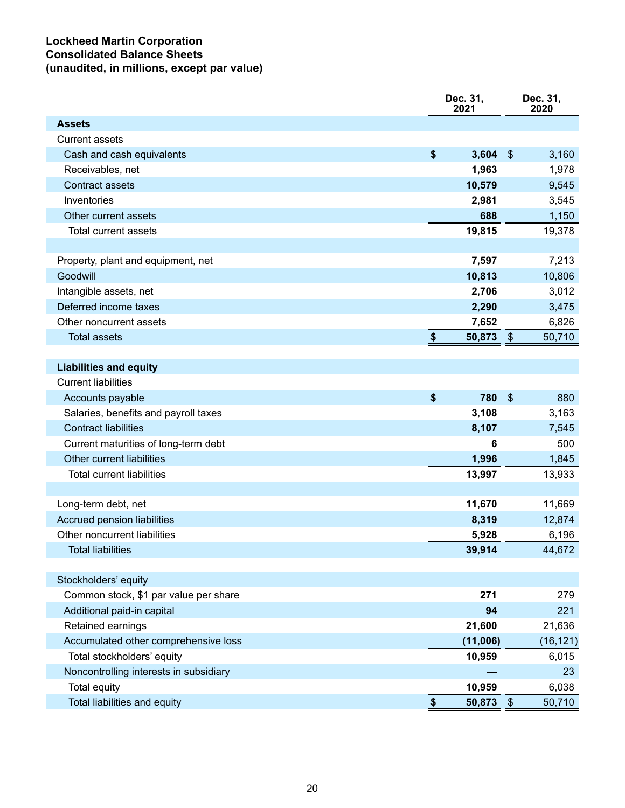## **Lockheed Martin Corporation Consolidated Balance Sheets (unaudited, in millions, except par value)**

|                                        |            | Dec. 31,<br>2021 |                         | Dec. 31,<br>2020 |
|----------------------------------------|------------|------------------|-------------------------|------------------|
| <b>Assets</b>                          |            |                  |                         |                  |
| <b>Current assets</b>                  |            |                  |                         |                  |
| Cash and cash equivalents              | \$         | 3,604            | $\$\$                   | 3,160            |
| Receivables, net                       |            | 1,963            |                         | 1,978            |
| <b>Contract assets</b>                 |            | 10,579           |                         | 9,545            |
| Inventories                            |            | 2,981            |                         | 3,545            |
| Other current assets                   |            | 688              |                         | 1,150            |
| <b>Total current assets</b>            |            | 19,815           |                         | 19,378           |
|                                        |            |                  |                         |                  |
| Property, plant and equipment, net     |            | 7,597            |                         | 7,213            |
| Goodwill                               |            | 10,813           |                         | 10,806           |
| Intangible assets, net                 |            | 2,706            |                         | 3,012            |
| Deferred income taxes                  |            | 2,290            |                         | 3,475            |
| Other noncurrent assets                |            | 7,652            |                         | 6,826            |
| <b>Total assets</b>                    | \$         | 50,873           | $\frac{1}{2}$           | 50,710           |
|                                        |            |                  |                         |                  |
| <b>Liabilities and equity</b>          |            |                  |                         |                  |
| <b>Current liabilities</b>             |            |                  |                         |                  |
| Accounts payable                       | \$         | 780              | $\$\$                   | 880              |
| Salaries, benefits and payroll taxes   |            | 3,108            |                         | 3,163            |
| <b>Contract liabilities</b>            |            | 8,107            |                         | 7,545            |
| Current maturities of long-term debt   |            | 6                |                         | 500              |
| Other current liabilities              |            | 1,996            |                         | 1,845            |
| <b>Total current liabilities</b>       |            | 13,997           |                         | 13,933           |
|                                        |            |                  |                         |                  |
| Long-term debt, net                    |            | 11,670           |                         | 11,669           |
| Accrued pension liabilities            |            | 8,319            |                         | 12,874           |
| Other noncurrent liabilities           |            | 5,928            |                         | 6,196            |
| <b>Total liabilities</b>               |            | 39,914           |                         | 44,672           |
|                                        |            |                  |                         |                  |
| Stockholders' equity                   |            |                  |                         |                  |
| Common stock, \$1 par value per share  |            | 271              |                         | 279              |
| Additional paid-in capital             |            | 94               |                         | 221              |
| Retained earnings                      |            | 21,600           |                         | 21,636           |
| Accumulated other comprehensive loss   |            | (11,006)         |                         | (16, 121)        |
| Total stockholders' equity             |            | 10,959           |                         | 6,015            |
| Noncontrolling interests in subsidiary |            |                  |                         | 23               |
| Total equity                           |            | 10,959           |                         | 6,038            |
| Total liabilities and equity           | $\pmb{\$}$ | 50,873           | $\sqrt[6]{\frac{1}{2}}$ | 50,710           |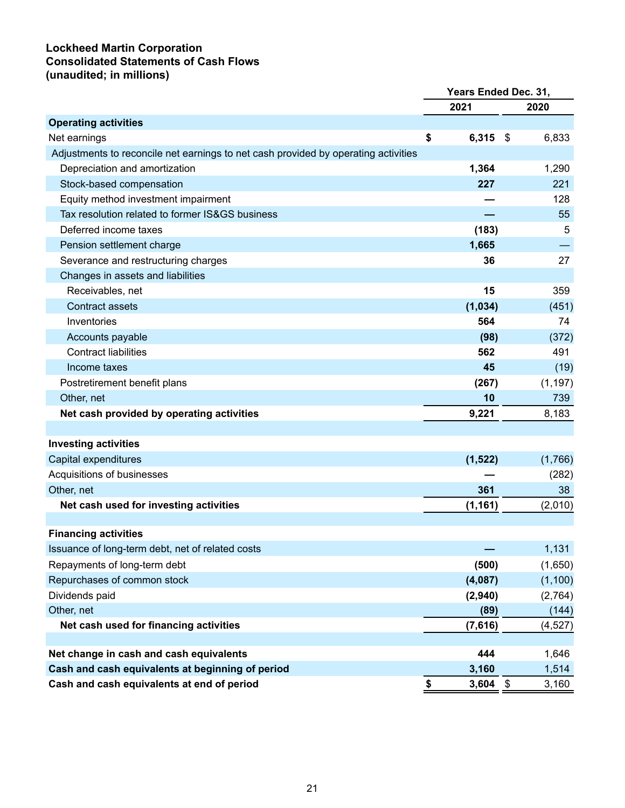## **Lockheed Martin Corporation Consolidated Statements of Cash Flows (unaudited; in millions)**

|                                                                                    | Years Ended Dec. 31, |          |    |          |
|------------------------------------------------------------------------------------|----------------------|----------|----|----------|
|                                                                                    |                      | 2021     |    | 2020     |
| <b>Operating activities</b>                                                        |                      |          |    |          |
| Net earnings                                                                       | \$                   | 6,315    | \$ | 6,833    |
| Adjustments to reconcile net earnings to net cash provided by operating activities |                      |          |    |          |
| Depreciation and amortization                                                      |                      | 1,364    |    | 1,290    |
| Stock-based compensation                                                           |                      | 227      |    | 221      |
| Equity method investment impairment                                                |                      |          |    | 128      |
| Tax resolution related to former IS&GS business                                    |                      |          |    | 55       |
| Deferred income taxes                                                              |                      | (183)    |    | 5        |
| Pension settlement charge                                                          |                      | 1,665    |    |          |
| Severance and restructuring charges                                                |                      | 36       |    | 27       |
| Changes in assets and liabilities                                                  |                      |          |    |          |
| Receivables, net                                                                   |                      | 15       |    | 359      |
| <b>Contract assets</b>                                                             |                      | (1,034)  |    | (451)    |
| Inventories                                                                        |                      | 564      |    | 74       |
| Accounts payable                                                                   |                      | (98)     |    | (372)    |
| <b>Contract liabilities</b>                                                        |                      | 562      |    | 491      |
| Income taxes                                                                       |                      | 45       |    | (19)     |
| Postretirement benefit plans                                                       |                      | (267)    |    | (1, 197) |
| Other, net                                                                         |                      | 10       |    | 739      |
| Net cash provided by operating activities                                          |                      | 9,221    |    | 8,183    |
|                                                                                    |                      |          |    |          |
| <b>Investing activities</b>                                                        |                      |          |    |          |
| Capital expenditures                                                               |                      | (1, 522) |    | (1,766)  |
| Acquisitions of businesses                                                         |                      |          |    | (282)    |
| Other, net                                                                         |                      | 361      |    | 38       |
| Net cash used for investing activities                                             |                      | (1, 161) |    | (2,010)  |
|                                                                                    |                      |          |    |          |
| <b>Financing activities</b>                                                        |                      |          |    |          |
| Issuance of long-term debt, net of related costs                                   |                      |          |    | 1,131    |
| Repayments of long-term debt                                                       |                      | (500)    |    | (1,650)  |
| Repurchases of common stock                                                        |                      | (4,087)  |    | (1, 100) |
| Dividends paid                                                                     |                      | (2,940)  |    | (2,764)  |
| Other, net                                                                         |                      | (89)     |    | (144)    |
| Net cash used for financing activities                                             |                      | (7,616)  |    | (4, 527) |
|                                                                                    |                      |          |    |          |
| Net change in cash and cash equivalents                                            |                      | 444      |    | 1,646    |
| Cash and cash equivalents at beginning of period                                   |                      | 3,160    |    | 1,514    |
| Cash and cash equivalents at end of period                                         | \$                   | 3,604    | \$ | 3,160    |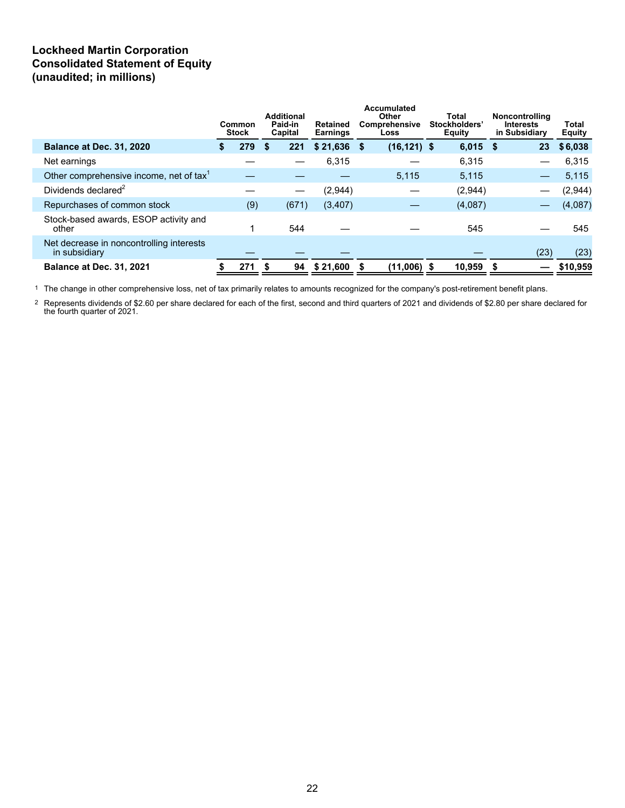## **Lockheed Martin Corporation Consolidated Statement of Equity (unaudited; in millions)**

|                                                           | Common<br><b>Stock</b> | <b>Additional</b><br>Paid-in<br>Capital | Retained<br><b>Earnings</b> |    | Accumulated<br>Other<br>Comprehensive<br>Loss | Total<br>Stockholders'<br><b>Equity</b> |         | <b>Noncontrolling</b><br><b>Interests</b><br>in Subsidiary | <b>Total</b><br><b>Equity</b> |  |
|-----------------------------------------------------------|------------------------|-----------------------------------------|-----------------------------|----|-----------------------------------------------|-----------------------------------------|---------|------------------------------------------------------------|-------------------------------|--|
| Balance at Dec. 31, 2020                                  | 279                    | 221<br>S                                | \$21,636                    | -S | $(16, 121)$ \$                                |                                         | 6,015   | 23<br>\$.                                                  | \$6,038                       |  |
| Net earnings                                              |                        |                                         | 6,315                       |    |                                               |                                         | 6.315   |                                                            | 6,315                         |  |
| Other comprehensive income, net of tax <sup>1</sup>       |                        |                                         |                             |    | 5.115                                         |                                         | 5,115   |                                                            | 5,115                         |  |
| Dividends declared <sup>2</sup>                           |                        |                                         | (2,944)                     |    |                                               |                                         | (2,944) |                                                            | (2,944)                       |  |
| Repurchases of common stock                               | (9)                    | (671)                                   | (3, 407)                    |    |                                               |                                         | (4,087) |                                                            | (4,087)                       |  |
| Stock-based awards, ESOP activity and<br>other            |                        | 544                                     |                             |    |                                               |                                         | 545     |                                                            | 545                           |  |
| Net decrease in noncontrolling interests<br>in subsidiary |                        |                                         |                             |    |                                               |                                         |         | (23)                                                       | (23)                          |  |
| <b>Balance at Dec. 31, 2021</b>                           | 271                    | 94<br>- \$                              | \$21,600                    |    | $(11,006)$ \$                                 |                                         | 10,959  | S                                                          | \$10,959                      |  |

1 The change in other comprehensive loss, net of tax primarily relates to amounts recognized for the company's post-retirement benefit plans.

 $^2$  Represents dividends of \$2.60 per share declared for each of the first, second and third quarters of 2021 and dividends of \$2.80 per share declared for the fourth quarter of 2021.